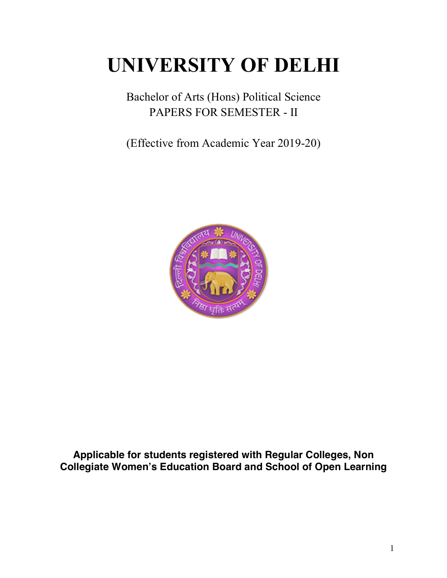# **UNIVERSITY OF DELHI**

Bachelor of Arts (Hons) Political Science PAPERS FOR SEMESTER - II

(Effective from Academic Year 2019-20)



**Applicable for students registered with Regular Colleges, Non Collegiate Women's Education Board and School of Open Learning**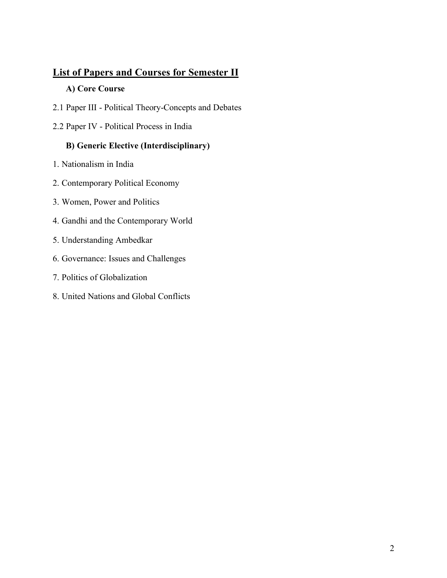# **List of Papers and Courses for Semester II**

#### **A) Core Course**

- 2.1 Paper III Political Theory-Concepts and Debates
- 2.2 Paper IV Political Process in India

# **B) Generic Elective (Interdisciplinary)**

- 1. Nationalism in India
- 2. Contemporary Political Economy
- 3. Women, Power and Politics
- 4. Gandhi and the Contemporary World
- 5. Understanding Ambedkar
- 6. Governance: Issues and Challenges
- 7. Politics of Globalization
- 8. United Nations and Global Conflicts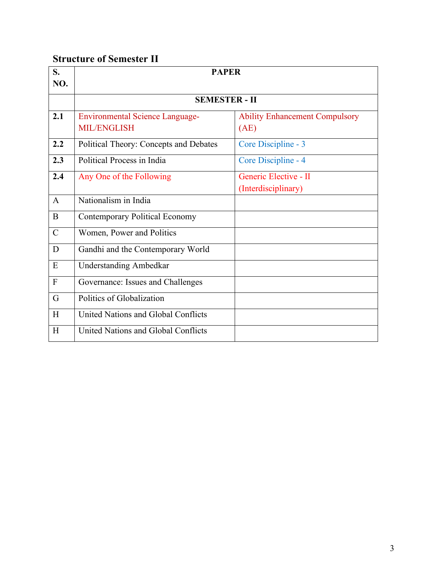# **Structure of Semester II**

| S.<br>NO.      | <b>PAPER</b>                           |                                       |
|----------------|----------------------------------------|---------------------------------------|
|                |                                        |                                       |
|                | <b>SEMESTER - II</b>                   |                                       |
| 2.1            | <b>Environmental Science Language-</b> | <b>Ability Enhancement Compulsory</b> |
|                | <b>MIL/ENGLISH</b>                     | (AE)                                  |
| 2.2            | Political Theory: Concepts and Debates | Core Discipline - 3                   |
| 2.3            | Political Process in India             | Core Discipline - 4                   |
| 2.4            | Any One of the Following               | Generic Elective - II                 |
|                |                                        | (Interdisciplinary)                   |
| $\mathbf{A}$   | Nationalism in India                   |                                       |
| B              | <b>Contemporary Political Economy</b>  |                                       |
| $\mathcal{C}$  | Women, Power and Politics              |                                       |
| D              | Gandhi and the Contemporary World      |                                       |
| ${\bf E}$      | <b>Understanding Ambedkar</b>          |                                       |
| $\overline{F}$ | Governance: Issues and Challenges      |                                       |
| G              | Politics of Globalization              |                                       |
| H              | United Nations and Global Conflicts    |                                       |
| H              | United Nations and Global Conflicts    |                                       |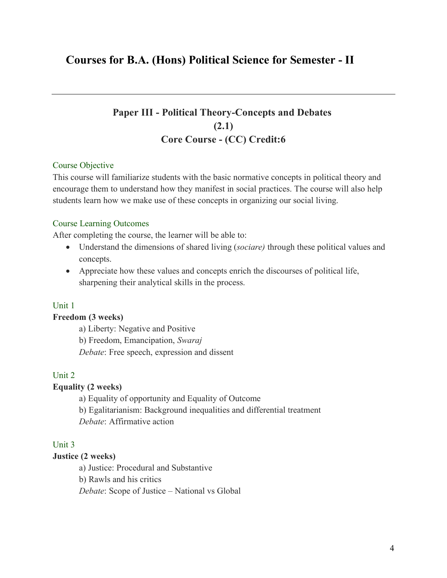# **Courses for B.A. (Hons) Political Science for Semester - II**

# **Paper III - Political Theory-Concepts and Debates (2.1) Core Course - (CC) Credit:6**

#### Course Objective

This course will familiarize students with the basic normative concepts in political theory and encourage them to understand how they manifest in social practices. The course will also help students learn how we make use of these concepts in organizing our social living.

#### Course Learning Outcomes

After completing the course, the learner will be able to:

- Understand the dimensions of shared living (*sociare)* through these political values and concepts.
- Appreciate how these values and concepts enrich the discourses of political life, sharpening their analytical skills in the process.

#### Unit 1

#### **Freedom (3 weeks)**

a) Liberty: Negative and Positive b) Freedom, Emancipation, *Swaraj Debate*: Free speech, expression and dissent

#### Unit 2

#### **Equality (2 weeks)**

a) Equality of opportunity and Equality of Outcome

b) Egalitarianism: Background inequalities and differential treatment

*Debate*: Affirmative action

#### Unit 3

#### **Justice (2 weeks)**

a) Justice: Procedural and Substantive

b) Rawls and his critics

*Debate*: Scope of Justice – National vs Global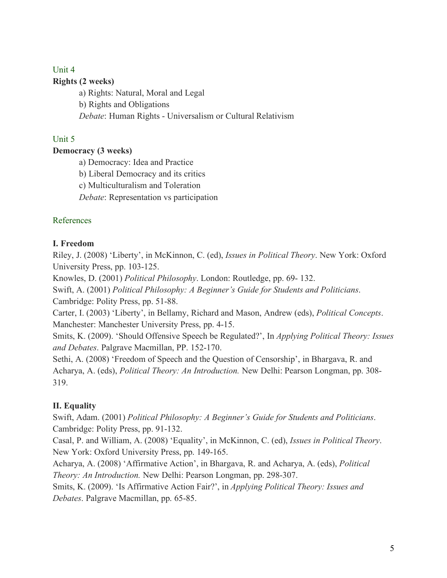# Unit 4

#### **Rights (2 weeks)**

a) Rights: Natural, Moral and Legal b) Rights and Obligations *Debate*: Human Rights - Universalism or Cultural Relativism

#### Unit 5

#### **Democracy (3 weeks)**

a) Democracy: Idea and Practice

b) Liberal Democracy and its critics

c) Multiculturalism and Toleration

*Debate*: Representation vs participation

#### References

#### **I. Freedom**

Riley, J. (2008) 'Liberty', in McKinnon, C. (ed), *Issues in Political Theory*. New York: Oxford University Press, pp. 103-125.

Knowles, D. (2001) *Political Philosophy*. London: Routledge, pp. 69- 132.

Swift, A. (2001) *Political Philosophy: A Beginner's Guide for Students and Politicians*. Cambridge: Polity Press, pp. 51-88.

Carter, I. (2003) 'Liberty', in Bellamy, Richard and Mason, Andrew (eds), *Political Concepts*. Manchester: Manchester University Press, pp. 4-15.

Smits, K. (2009). 'Should Offensive Speech be Regulated?', In *Applying Political Theory: Issues and Debates*. Palgrave Macmillan, PP. 152-170.

Sethi, A. (2008) 'Freedom of Speech and the Question of Censorship', in Bhargava, R. and Acharya, A. (eds), *Political Theory: An Introduction.* New Delhi: Pearson Longman, pp. 308- 319.

#### **II. Equality**

Swift, Adam. (2001) *Political Philosophy: A Beginner's Guide for Students and Politicians*. Cambridge: Polity Press, pp. 91-132.

Casal, P. and William, A. (2008) 'Equality', in McKinnon, C. (ed), *Issues in Political Theory*. New York: Oxford University Press, pp. 149-165.

Acharya, A. (2008) 'Affirmative Action', in Bhargava, R. and Acharya, A. (eds), *Political Theory: An Introduction.* New Delhi: Pearson Longman, pp. 298-307.

Smits, K. (2009). 'Is Affirmative Action Fair?', in *Applying Political Theory: Issues and Debates*. Palgrave Macmillan, pp. 65-85.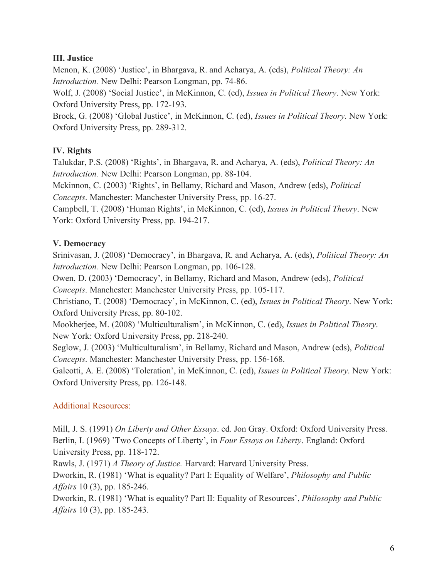#### **III. Justice**

Menon, K. (2008) 'Justice', in Bhargava, R. and Acharya, A. (eds), *Political Theory: An Introduction.* New Delhi: Pearson Longman, pp. 74-86.

Wolf, J. (2008) 'Social Justice', in McKinnon, C. (ed), *Issues in Political Theory*. New York: Oxford University Press, pp. 172-193.

Brock, G. (2008) 'Global Justice', in McKinnon, C. (ed), *Issues in Political Theory*. New York: Oxford University Press, pp. 289-312.

### **IV. Rights**

Talukdar, P.S. (2008) 'Rights', in Bhargava, R. and Acharya, A. (eds), *Political Theory: An Introduction.* New Delhi: Pearson Longman, pp. 88-104.

Mckinnon, C. (2003) 'Rights', in Bellamy, Richard and Mason, Andrew (eds), *Political Concepts*. Manchester: Manchester University Press, pp. 16-27.

Campbell, T. (2008) 'Human Rights', in McKinnon, C. (ed), *Issues in Political Theory*. New York: Oxford University Press, pp. 194-217.

#### **V. Democracy**

Srinivasan, J. (2008) 'Democracy', in Bhargava, R. and Acharya, A. (eds), *Political Theory: An Introduction.* New Delhi: Pearson Longman, pp. 106-128.

Owen, D. (2003) 'Democracy', in Bellamy, Richard and Mason, Andrew (eds), *Political Concepts*. Manchester: Manchester University Press, pp. 105-117.

Christiano, T. (2008) 'Democracy', in McKinnon, C. (ed), *Issues in Political Theory*. New York: Oxford University Press, pp. 80-102.

Mookherjee, M. (2008) 'Multiculturalism', in McKinnon, C. (ed), *Issues in Political Theory*. New York: Oxford University Press, pp. 218-240.

Seglow, J. (2003) 'Multiculturalism', in Bellamy, Richard and Mason, Andrew (eds), *Political Concepts*. Manchester: Manchester University Press, pp. 156-168.

Galeotti, A. E. (2008) 'Toleration', in McKinnon, C. (ed), *Issues in Political Theory*. New York: Oxford University Press, pp. 126-148.

# Additional Resources:

Mill, J. S. (1991) *On Liberty and Other Essays*. ed. Jon Gray. Oxford: Oxford University Press. Berlin, I. (1969) 'Two Concepts of Liberty', in *Four Essays on Liberty*. England: Oxford University Press, pp. 118-172.

Rawls, J. (1971) *A Theory of Justice.* Harvard: Harvard University Press.

Dworkin, R. (1981) 'What is equality? Part I: Equality of Welfare', *Philosophy and Public Affairs* 10 (3), pp. 185-246.

Dworkin, R. (1981) 'What is equality? Part II: Equality of Resources', *Philosophy and Public Affairs* 10 (3), pp. 185-243.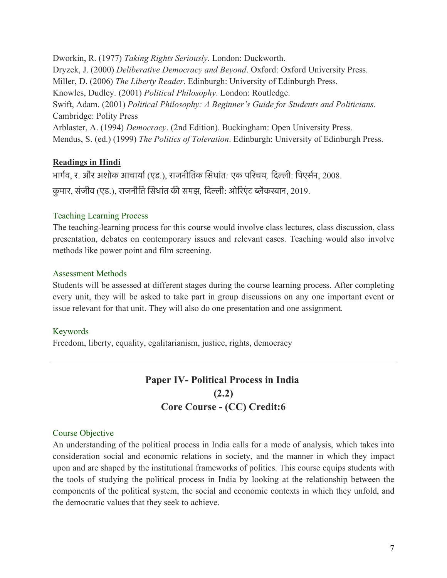Dworkin, R. (1977) *Taking Rights Seriously*. London: Duckworth. Dryzek, J. (2000) *Deliberative Democracy and Beyond*. Oxford: Oxford University Press. Miller, D. (2006) *The Liberty Reader*. Edinburgh: University of Edinburgh Press. Knowles, Dudley. (2001) *Political Philosophy*. London: Routledge. Swift, Adam. (2001) *Political Philosophy: A Beginner's Guide for Students and Politicians*. Cambridge: Polity Press Arblaster, A. (1994) *Democracy*. (2nd Edition). Buckingham: Open University Press. Mendus, S. (ed.) (1999) *The Politics of Toleration*. Edinburgh: University of Edinburgh Press.

#### **Readings in Hindi**

भागरव, र. और अशोक आचायार(एड.), राजनीितक िसधांत*:* एक पिरचय*,* िदली: िपएसरन, 2008.

कु मार, संजीव (एड.), राजनीित िसधांत की समझ*,* िदली: ओिरएं ट बैकसान, 2019.

#### Teaching Learning Process

The teaching-learning process for this course would involve class lectures, class discussion, class presentation, debates on contemporary issues and relevant cases. Teaching would also involve methods like power point and film screening.

#### Assessment Methods

Students will be assessed at different stages during the course learning process. After completing every unit, they will be asked to take part in group discussions on any one important event or issue relevant for that unit. They will also do one presentation and one assignment.

#### Keywords

Freedom, liberty, equality, egalitarianism, justice, rights, democracy

# **Paper IV- Political Process in India (2.2) Core Course - (CC) Credit:6**

#### Course Objective

An understanding of the political process in India calls for a mode of analysis, which takes into consideration social and economic relations in society, and the manner in which they impact upon and are shaped by the institutional frameworks of politics. This course equips students with the tools of studying the political process in India by looking at the relationship between the components of the political system, the social and economic contexts in which they unfold, and the democratic values that they seek to achieve.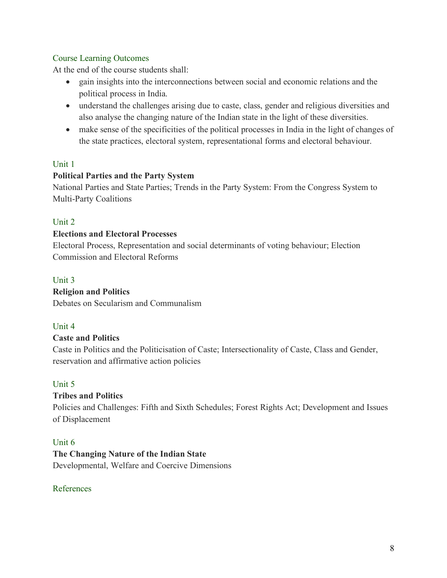#### Course Learning Outcomes

At the end of the course students shall:

- gain insights into the interconnections between social and economic relations and the political process in India.
- understand the challenges arising due to caste, class, gender and religious diversities and also analyse the changing nature of the Indian state in the light of these diversities.
- make sense of the specificities of the political processes in India in the light of changes of the state practices, electoral system, representational forms and electoral behaviour.

#### Unit 1

#### **Political Parties and the Party System**

National Parties and State Parties; Trends in the Party System: From the Congress System to Multi-Party Coalitions

#### Unit 2

#### **Elections and Electoral Processes**

Electoral Process, Representation and social determinants of voting behaviour; Election Commission and Electoral Reforms

#### Unit 3

#### **Religion and Politics**

Debates on Secularism and Communalism

#### Unit 4

#### **Caste and Politics**

Caste in Politics and the Politicisation of Caste; Intersectionality of Caste, Class and Gender, reservation and affirmative action policies

#### Unit 5

#### **Tribes and Politics**

Policies and Challenges: Fifth and Sixth Schedules; Forest Rights Act; Development and Issues of Displacement

#### Unit 6

#### **The Changing Nature of the Indian State**

Developmental, Welfare and Coercive Dimensions

#### References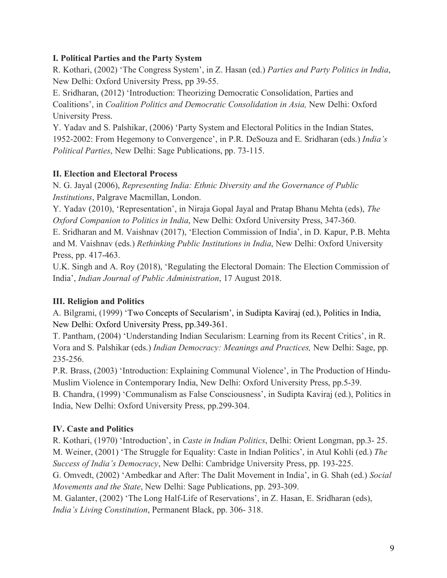#### **I. Political Parties and the Party System**

R. Kothari, (2002) 'The Congress System', in Z. Hasan (ed.) *Parties and Party Politics in India*, New Delhi: Oxford University Press, pp 39-55.

E. Sridharan, (2012) 'Introduction: Theorizing Democratic Consolidation, Parties and Coalitions', in *Coalition Politics and Democratic Consolidation in Asia,* New Delhi: Oxford University Press.

Y. Yadav and S. Palshikar, (2006) 'Party System and Electoral Politics in the Indian States, 1952-2002: From Hegemony to Convergence', in P.R. DeSouza and E. Sridharan (eds.) *India's Political Parties*, New Delhi: Sage Publications, pp. 73-115.

#### **II. Election and Electoral Process**

N. G. Jayal (2006), *Representing India: Ethnic Diversity and the Governance of Public Institutions*, Palgrave Macmillan, London.

Y. Yadav (2010), 'Representation', in Niraja Gopal Jayal and Pratap Bhanu Mehta (eds), *The Oxford Companion to Politics in India*, New Delhi: Oxford University Press, 347-360.

E. Sridharan and M. Vaishnav (2017), 'Election Commission of India', in D. Kapur, P.B. Mehta and M. Vaishnav (eds.) *Rethinking Public Institutions in India*, New Delhi: Oxford University Press, pp. 417-463.

U.K. Singh and A. Roy (2018), 'Regulating the Electoral Domain: The Election Commission of India', *Indian Journal of Public Administration*, 17 August 2018.

#### **III. Religion and Politics**

A. Bilgrami, (1999) 'Two Concepts of Secularism', in Sudipta Kaviraj (ed.), Politics in India, New Delhi: Oxford University Press, pp.349-361.

T. Pantham, (2004) 'Understanding Indian Secularism: Learning from its Recent Critics', in R. Vora and S. Palshikar (eds.) *Indian Democracy: Meanings and Practices,* New Delhi: Sage, pp. 235-256.

P.R. Brass, (2003) 'Introduction: Explaining Communal Violence', in The Production of Hindu-Muslim Violence in Contemporary India, New Delhi: Oxford University Press, pp.5-39.

B. Chandra, (1999) 'Communalism as False Consciousness', in Sudipta Kaviraj (ed.), Politics in India, New Delhi: Oxford University Press, pp.299-304.

#### **IV. Caste and Politics**

R. Kothari, (1970) 'Introduction', in *Caste in Indian Politics*, Delhi: Orient Longman, pp.3- 25. M. Weiner, (2001) 'The Struggle for Equality: Caste in Indian Politics', in Atul Kohli (ed.) *The Success of India's Democracy*, New Delhi: Cambridge University Press, pp. 193-225.

G. Omvedt, (2002) 'Ambedkar and After: The Dalit Movement in India', in G. Shah (ed.) *Social Movements and the State*, New Delhi: Sage Publications, pp. 293-309.

M. Galanter, (2002) 'The Long Half-Life of Reservations', in Z. Hasan, E. Sridharan (eds), *India's Living Constitution*, Permanent Black, pp. 306- 318.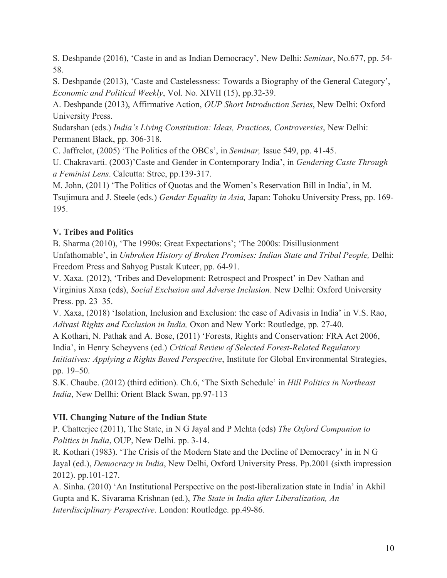S. Deshpande (2016), 'Caste in and as Indian Democracy', New Delhi: *Seminar*, No.677, pp. 54- 58.

S. Deshpande (2013), 'Caste and Castelessness: Towards a Biography of the General Category', *Economic and Political Weekly*, Vol. No. XIVII (15), pp.32-39.

A. Deshpande (2013), Affirmative Action, *OUP Short Introduction Series*, New Delhi: Oxford University Press.

Sudarshan (eds.) *India's Living Constitution: Ideas, Practices, Controversies*, New Delhi: Permanent Black, pp. 306-318.

C. Jaffrelot, (2005) 'The Politics of the OBCs', in *Seminar,* Issue 549, pp. 41-45.

U. Chakravarti. (2003)'Caste and Gender in Contemporary India', in *Gendering Caste Through a Feminist Lens*. Calcutta: Stree, pp.139-317.

M. John, (2011) 'The Politics of Quotas and the Women's Reservation Bill in India', in M. Tsujimura and J. Steele (eds.) *Gender Equality in Asia,* Japan: Tohoku University Press, pp. 169- 195.

# **V. Tribes and Politics**

B. Sharma (2010), 'The 1990s: Great Expectations'; 'The 2000s: Disillusionment Unfathomable', in *Unbroken History of Broken Promises: Indian State and Tribal People,* Delhi: Freedom Press and Sahyog Pustak Kuteer, pp. 64-91.

V. Xaxa. (2012), 'Tribes and Development: Retrospect and Prospect' in Dev Nathan and Virginius Xaxa (eds), *Social Exclusion and Adverse Inclusion*. New Delhi: Oxford University Press. pp. 23–35.

V. Xaxa, (2018) 'Isolation, Inclusion and Exclusion: the case of Adivasis in India' in V.S. Rao, *Adivasi Rights and Exclusion in India,* Oxon and New York: Routledge, pp. 27-40.

A Kothari, N. Pathak and A. Bose, (2011) 'Forests, Rights and Conservation: FRA Act 2006, India', in Henry Scheyvens (ed.) *Critical Review of Selected Forest-Related Regulatory Initiatives: Applying a Rights Based Perspective*, Institute for Global Environmental Strategies, pp. 19–50.

S.K. Chaube. (2012) (third edition). Ch.6, 'The Sixth Schedule' in *Hill Politics in Northeast India*, New Dellhi: Orient Black Swan, pp.97-113

#### **VII. Changing Nature of the Indian State**

P. Chatterjee (2011), The State, in N G Jayal and P Mehta (eds) *The Oxford Companion to Politics in India*, OUP, New Delhi. pp. 3-14.

R. Kothari (1983). 'The Crisis of the Modern State and the Decline of Democracy' in in N G Jayal (ed.), *Democracy in India*, New Delhi, Oxford University Press. Pp.2001 (sixth impression 2012). pp.101-127.

A. Sinha. (2010) 'An Institutional Perspective on the post-liberalization state in India' in Akhil Gupta and K. Sivarama Krishnan (ed.), *The State in India after Liberalization, An Interdisciplinary Perspective*. London: Routledge. pp.49-86.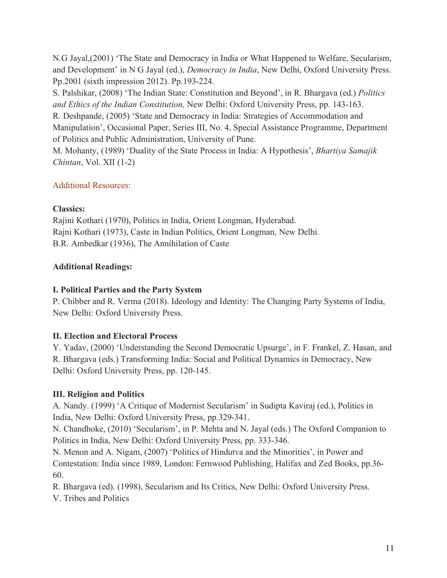N.G Jayal,(2001) 'The State and Democracy in India or What Happened to Welfare, Secularism, and Development' in N G Jayal (ed.), *Democracy in India*, New Delhi, Oxford University Press. Pp.2001 (sixth impression 2012). Pp.193-224.

S. Palshikar, (2008) 'The Indian State: Constitution and Beyond', in R. Bhargava (ed.) *Politics and Ethics of the Indian Constitution,* New Delhi: Oxford University Press, pp. 143-163.

R. Deshpande, (2005) 'State and Democracy in India: Strategies of Accommodation and Manipulation', Occasional Paper, Series III, No. 4, Special Assistance Programme, Department of Politics and Public Administration, University of Pune.

M. Mohanty, (1989) 'Duality of the State Process in India: A Hypothesis', *Bhartiya Samajik Chintan*, Vol. XII (1-2)

### Additional Resources:

#### **Classics:**

Rajini Kothari (1970), Politics in India, Orient Longman, Hyderabad. Rajni Kothari (1973), Caste in Indian Politics, Orient Longman, New Delhi. B.R. Ambedkar (1936), The Annihilation of Caste

### **Additional Readings:**

# **I. Political Parties and the Party System**

P. Chibber and R. Verma (2018). Ideology and Identity: The Changing Party Systems of India, New Delhi: Oxford University Press.

# **II. Election and Electoral Process**

Y. Yadav, (2000) 'Understanding the Second Democratic Upsurge', in F. Frankel, Z. Hasan, and R. Bhargava (eds.) Transforming India: Social and Political Dynamics in Democracy, New Delhi: Oxford University Press, pp. 120-145.

# **III. Religion and Politics**

A. Nandy. (1999) 'A Critique of Modernist Secularism' in Sudipta Kaviraj (ed.), Politics in India, New Delhi: Oxford University Press, pp.329-341.

N. Chandhoke, (2010) 'Secularism', in P. Mehta and N. Jayal (eds.) The Oxford Companion to Politics in India, New Delhi: Oxford University Press, pp. 333-346.

N. Menon and A. Nigam, (2007) 'Politics of Hindutva and the Minorities', in Power and Contestation: India since 1989, London: Fernwood Publishing, Halifax and Zed Books, pp.36- 60.

R. Bhargava (ed). (1998), Secularism and Its Critics, New Delhi: Oxford University Press.

V. Tribes and Politics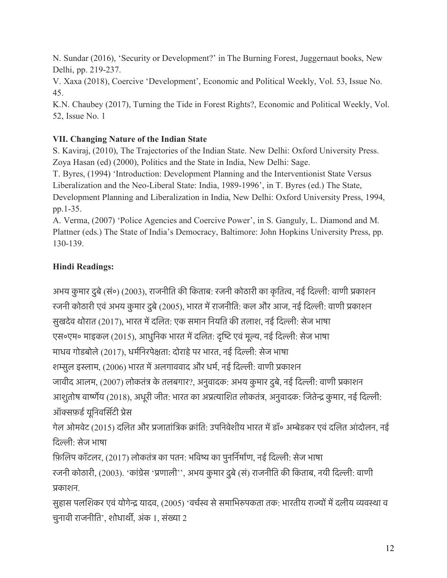N. Sundar (2016), 'Security or Development?' in The Burning Forest, Juggernaut books, New Delhi, pp. 219-237.

V. Xaxa (2018), Coercive 'Development', Economic and Political Weekly, Vol. 53, Issue No. 45.

K.N. Chaubey (2017), Turning the Tide in Forest Rights?, Economic and Political Weekly, Vol. 52, Issue No. 1

# **VII. Changing Nature of the Indian State**

S. Kaviraj, (2010), The Trajectories of the Indian State. New Delhi: Oxford University Press. Zoya Hasan (ed) (2000), Politics and the State in India, New Delhi: Sage.

T. Byres, (1994) 'Introduction: Development Planning and the Interventionist State Versus Liberalization and the Neo-Liberal State: India, 1989-1996', in T. Byres (ed.) The State, Development Planning and Liberalization in India, New Delhi: Oxford University Press, 1994, pp.1-35.

A. Verma, (2007) 'Police Agencies and Coercive Power', in S. Ganguly, L. Diamond and M. Plattner (eds.) The State of India's Democracy, Baltimore: John Hopkins University Press, pp. 130-139.

# **Hindi Readings:**

अभय कुमार दुबे (सं०) (2003), राजनीति की किताब: रजनी कोठारी का कृतित्व, नई दिल्ली: वाणी प्रकाशन रजनी कोठारी एवं अभय कुमार दुबे (2005), भारत में राजनीति: कल और आज, नई दिल्ली: वाणी प्रकाशन सुखदेव थोरात (2017), भारत मेदिलत: एक समान िनयित की तलाश, नई िदली: सेज भाषा एस॰एम॰ माइकल (2015), आधुनिक भारत में दलित: दृष्टि एवं मूल्य, नई दिल्ली: सेज भाषा माधव गोडबोले (2017), धर्मनिरपेक्षता: दोराहे पर भारत, नई दिल्ली: सेज भाषा शम्सूल इस्लाम, (2006) भारत में अलगाववाद और धर्म, नई दिल्ली: वाणी प्रकाशन जावीद आलम, (2007) लोकतंत्र के तलबगार?, अनुवादक: अभय कुमार दुबे, नई दिल्ली: वाणी प्रकाशन आशुतोष वार्ष्णेय (2018), अधूरी जीत: भारत का अप्रत्याशित लोकतंत्र, अनुवादक: जितेन्द्र कुमार, नई दिल्ली: ऑक्सफ़र्ड यूनिवर्सिटी प्रेस

गेल ओमवेट (2015) दलित और प्रजातांत्रिक क्रांति: उपनिवेशीय भारत में डॉ॰ अम्बेडकर एवं दलित आंदोलन, नई िदली: सेज भाषा

फ़िलिप कॉटलर, (2017) लोकतंत्र का पतन: भविष्य का पुनर्निर्माण, नई दिल्ली: सेज भाषा

रजनी कोठारी, (2003). 'कांग्रेस 'प्रणाली'', अभय कुमार दुबे (सं) राजनीति की किताब, नयी दिल्ली: वाणी पकाशन.

सुहास पलशिकर एवं योगेन्द्र यादव, (2005) 'वर्चस्व से समाभिरुपकता तक: भारतीय राज्यों में दलीय व्यवस्था व चुनावी राजनीित', शोधाथी, अंक 1, संखा 2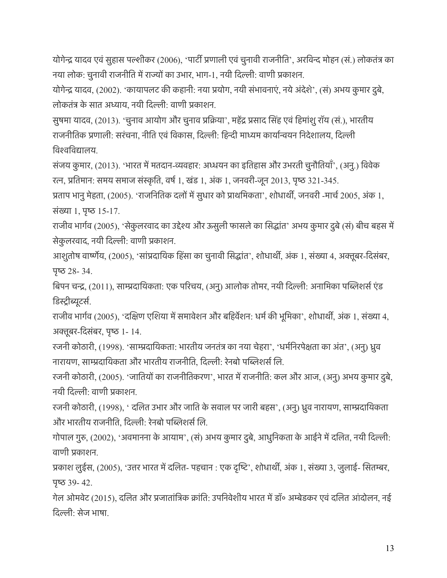योगेन्द्र यादव एवं सुहास पल्शीकर (2006), 'पार्टी प्रणाली एवं चुनावी राजनीति', अरविन्द मोहन (सं.) लोकतंत्र का नया लोक: चुनावी राजनीति में राज्यों का उभार, भाग-1, नयी दिल्ली: वाणी प्रकाशन.

योगेन्द्र यादव, (2002). 'कायापलट की कहानी: नया प्रयोग, नयी संभावनाएं, नये अंदेशे', (सं) अभय कुमार दुबे, लोकतंत के सात अधाय, नयी िदली: वाणी पकाशन.

सुषमा यादव, (2013). 'चुनाव आयोग और चुनाव प्रक्रिया', महेंद्र प्रसाद सिंह एवं हिमांशु रॉय (सं.), भारतीय राजनीतिक प्रणाली: सरंचना, नीति एवं विकास, दिल्ली: हिन्दी माध्यम कार्यान्वयन निदेशालय, दिल्ली िवशिवदालय.

संजय कुमार, (2013). 'भारत में मतदान-व्यवहार: अध्धयन का इतिहास और उभरती चुनौतियाँ', (अनु.) विवेक रत्न, प्रतिमान: समय समाज संस्कृति, वर्ष 1, खंड 1, अंक 1, जनवरी-जून 2013, पृष्ठ 321-345.

प्रताप भानु मेहता, (2005). 'राजनितिक दलों में सुधार को प्राथमिकता', शोधार्थी, जनवरी -मार्च 2005, अंक 1, संख्या 1, पृष्ठ 15-17.

राजीव भार्गव (2005), 'सेकुलरवाद का उद्देश्य और ऊसुली फासले का सिद्धांत' अभय कुमार दुबे (सं) बीच बहस में सेकुलरवाद, नयी दिल्ली: वाणी प्रकाशन.

आशुतोष वार्ष्णेय, (2005), 'सांप्रदायिक हिंसा का चुनावी सिद्धांत', शोधार्थी, अंक 1, संख्या 4, अक्तूबर-दिसंबर, पृष्ठ  $28 - 34$ .

बिपन चन्द्र, (2011), साम्प्रदायिकता: एक परिचय, (अनु) आलोक तोमर, नयी दिल्ली: अनामिका पब्लिशर्स एंड डिस्ट्रीब्युटर्स.

राजीव भार्गव (2005), 'दक्षिण एशिया में समावेशन और बहिर्वेशन: धर्म की भूमिका', शोधार्थी, अंक 1, संख्या 4, अक्तूबर-दिसंबर, पृष्ठ 1-14.

रजनी कोठारी, (1998). 'सामदाियकता: भारतीय जनतंत का नया चेहरा', 'धमरिनरपेकता का अंत', (अनु) धुव नारायण, साम्प्रदायिकता और भारतीय राजनीति, दिल्ली: रेनबो पब्लिशर्स लि.

रजनी कोठारी, (2005). 'जातियों का राजनीतिकरण', भारत में राजनीति: कल और आज, (अनु) अभय कुमार दुबे, नयी िदली: वाणी पकाशन.

रजनी कोठारी, (1998), ' दिलत उभार और जाित के सवाल पर जारी बहस', (अनु) धुव नारायण, सामदाियकता और भारतीय राजनीति, दिल्ली: रेनबो पब्लिशर्स लि.

गोपाल गुरु, (2002), 'अवमानना के आयाम', (सं) अभय कुमार दुबे, आधुनिकता के आईने में दलित, नयी दिल्ली: वाणी पकाशन.

प्रकाश लुईस, (2005), 'उत्तर भारत में दलित- पहचान : एक दृष्टि', शोधार्थी, अंक 1, संख्या 3, जुलाई- सितम्बर,  $42.$ 

गेल ओमवेट (2015), दलित और प्रजातांत्रिक क्रांति: उपनिवेशीय भारत में डॉ॰ अम्बेडकर एवं दलित आंदोलन, नई िदली: सेज भाषा.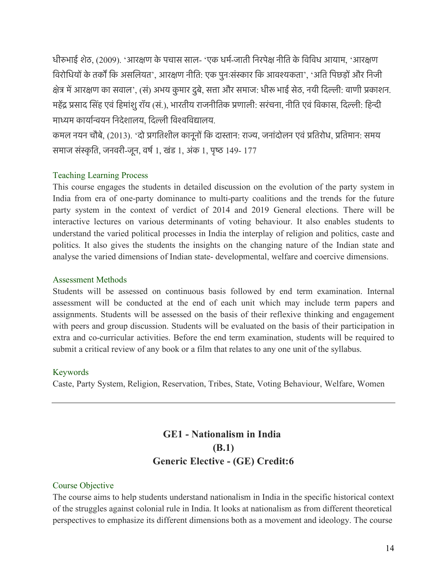धीरुभाई शेठ, (2009). 'आरक्षण के पचास साल- 'एक धर्म-जाती निरपेक्ष नीति के विविध आयाम, 'आरक्षण विरोधियों के तर्कों कि असलियत', आरक्षण नीति: एक पुनःसंस्कार कि आवश्यकता', 'अति पिछड़ों और निजी क्षेत्र में आरक्षण का सवाल', (सं) अभय कुमार दुबे, सत्ता और समाज: धीरू भाई सेठ, नयी दिल्ली: वाणी प्रकाशन. महेंद्र प्रसाद सिंह एवं हिमांशु रॉय (सं.), भारतीय राजनीतिक प्रणाली: सरंचना, नीति एवं विकास, दिल्ली: हिन्दी माध्यम कार्यान्वयन निदेशालय, दिल्ली विश्वविद्यालय.

कमल नयन चौबे, (2013). 'दो प्रगतिशील कानूनों कि दास्तान: राज्य, जनांदोलन एवं प्रतिरोध, प्रतिमान: समय समाज संस्कृति, जनवरी-जून, वर्ष 1, खंड 1, अंक 1, पृष्ठ 149- 177

#### Teaching Learning Process

This course engages the students in detailed discussion on the evolution of the party system in India from era of one-party dominance to multi-party coalitions and the trends for the future party system in the context of verdict of 2014 and 2019 General elections. There will be interactive lectures on various determinants of voting behaviour. It also enables students to understand the varied political processes in India the interplay of religion and politics, caste and politics. It also gives the students the insights on the changing nature of the Indian state and analyse the varied dimensions of Indian state- developmental, welfare and coercive dimensions.

#### Assessment Methods

Students will be assessed on continuous basis followed by end term examination. Internal assessment will be conducted at the end of each unit which may include term papers and assignments. Students will be assessed on the basis of their reflexive thinking and engagement with peers and group discussion. Students will be evaluated on the basis of their participation in extra and co-curricular activities. Before the end term examination, students will be required to submit a critical review of any book or a film that relates to any one unit of the syllabus.

#### Keywords

Caste, Party System, Religion, Reservation, Tribes, State, Voting Behaviour, Welfare, Women

# **GE1 - Nationalism in India (B.1) Generic Elective - (GE) Credit:6**

#### Course Objective

The course aims to help students understand nationalism in India in the specific historical context of the struggles against colonial rule in India. It looks at nationalism as from different theoretical perspectives to emphasize its different dimensions both as a movement and ideology. The course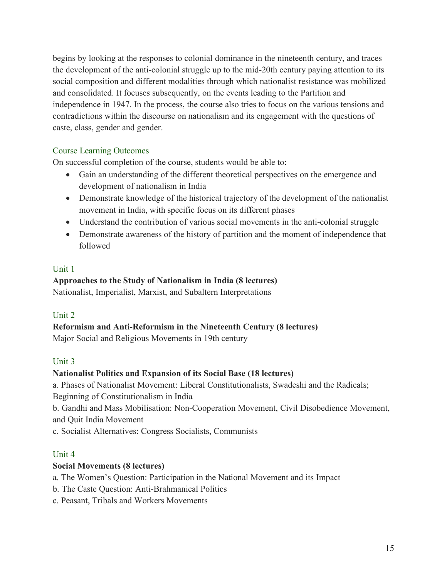begins by looking at the responses to colonial dominance in the nineteenth century, and traces the development of the anti-colonial struggle up to the mid-20th century paying attention to its social composition and different modalities through which nationalist resistance was mobilized and consolidated. It focuses subsequently, on the events leading to the Partition and independence in 1947. In the process, the course also tries to focus on the various tensions and contradictions within the discourse on nationalism and its engagement with the questions of caste, class, gender and gender.

#### Course Learning Outcomes

On successful completion of the course, students would be able to:

- Gain an understanding of the different theoretical perspectives on the emergence and development of nationalism in India
- Demonstrate knowledge of the historical trajectory of the development of the nationalist movement in India, with specific focus on its different phases
- Understand the contribution of various social movements in the anti-colonial struggle
- Demonstrate awareness of the history of partition and the moment of independence that followed

#### Unit 1

#### **Approaches to the Study of Nationalism in India (8 lectures)**

Nationalist, Imperialist, Marxist, and Subaltern Interpretations

#### Unit 2

# **Reformism and Anti-Reformism in the Nineteenth Century (8 lectures)**

Major Social and Religious Movements in 19th century

#### Unit 3

#### **Nationalist Politics and Expansion of its Social Base (18 lectures)**

a. Phases of Nationalist Movement: Liberal Constitutionalists, Swadeshi and the Radicals;

Beginning of Constitutionalism in India

b. Gandhi and Mass Mobilisation: Non-Cooperation Movement, Civil Disobedience Movement, and Quit India Movement

c. Socialist Alternatives: Congress Socialists, Communists

#### Unit 4

#### **Social Movements (8 lectures)**

a. The Women's Question: Participation in the National Movement and its Impact

- b. The Caste Question: Anti-Brahmanical Politics
- c. Peasant, Tribals and Workers Movements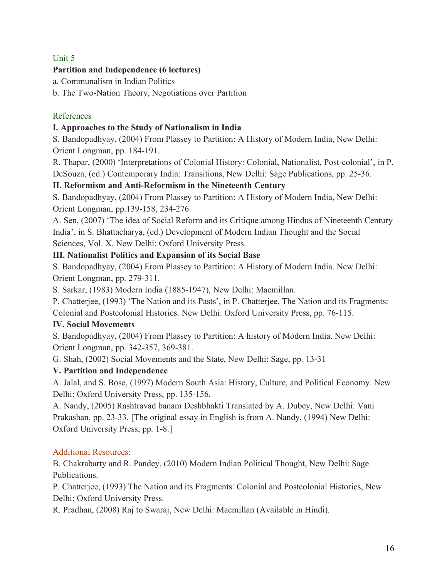### Unit 5

#### **Partition and Independence (6 lectures)**

a. Communalism in Indian Politics

b. The Two-Nation Theory, Negotiations over Partition

#### References

#### **I. Approaches to the Study of Nationalism in India**

S. Bandopadhyay, (2004) From Plassey to Partition: A History of Modern India, New Delhi: Orient Longman, pp. 184-191.

R. Thapar, (2000) 'Interpretations of Colonial History: Colonial, Nationalist, Post-colonial', in P. DeSouza, (ed.) Contemporary India: Transitions, New Delhi: Sage Publications, pp. 25-36.

#### **II. Reformism and Anti-Reformism in the Nineteenth Century**

S. Bandopadhyay, (2004) From Plassey to Partition: A History of Modern India, New Delhi: Orient Longman, pp.139-158, 234-276.

A. Sen, (2007) 'The idea of Social Reform and its Critique among Hindus of Nineteenth Century India', in S. Bhattacharya, (ed.) Development of Modern Indian Thought and the Social Sciences, Vol. X. New Delhi: Oxford University Press.

#### **III. Nationalist Politics and Expansion of its Social Base**

S. Bandopadhyay, (2004) From Plassey to Partition: A History of Modern India. New Delhi: Orient Longman, pp. 279-311.

S. Sarkar, (1983) Modern India (1885-1947), New Delhi: Macmillan.

P. Chatterjee, (1993) 'The Nation and its Pasts', in P. Chatterjee, The Nation and its Fragments: Colonial and Postcolonial Histories. New Delhi: Oxford University Press, pp. 76-115.

#### **IV. Social Movements**

S. Bandopadhyay, (2004) From Plassey to Partition: A history of Modern India. New Delhi: Orient Longman, pp. 342-357, 369-381.

G. Shah, (2002) Social Movements and the State, New Delhi: Sage, pp. 13-31

#### **V. Partition and Independence**

A. Jalal, and S. Bose, (1997) Modern South Asia: History, Culture, and Political Economy. New Delhi: Oxford University Press, pp. 135-156.

A. Nandy, (2005) Rashtravad banam Deshbhakti Translated by A. Dubey, New Delhi: Vani Prakashan. pp. 23-33. [The original essay in English is from A. Nandy, (1994) New Delhi: Oxford University Press, pp. 1-8.]

#### Additional Resources:

B. Chakrabarty and R. Pandey, (2010) Modern Indian Political Thought, New Delhi: Sage Publications.

P. Chatterjee, (1993) The Nation and its Fragments: Colonial and Postcolonial Histories, New Delhi: Oxford University Press.

R. Pradhan, (2008) Raj to Swaraj, New Delhi: Macmillan (Available in Hindi).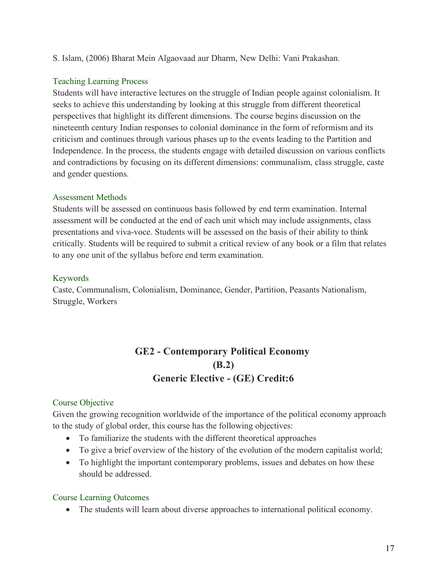S. Islam, (2006) Bharat Mein Algaovaad aur Dharm, New Delhi: Vani Prakashan.

#### Teaching Learning Process

Students will have interactive lectures on the struggle of Indian people against colonialism. It seeks to achieve this understanding by looking at this struggle from different theoretical perspectives that highlight its different dimensions. The course begins discussion on the nineteenth century Indian responses to colonial dominance in the form of reformism and its criticism and continues through various phases up to the events leading to the Partition and Independence. In the process, the students engage with detailed discussion on various conflicts and contradictions by focusing on its different dimensions: communalism, class struggle, caste and gender questions.

### Assessment Methods

Students will be assessed on continuous basis followed by end term examination. Internal assessment will be conducted at the end of each unit which may include assignments, class presentations and viva-voce. Students will be assessed on the basis of their ability to think critically. Students will be required to submit a critical review of any book or a film that relates to any one unit of the syllabus before end term examination.

### Keywords

Caste, Communalism, Colonialism, Dominance, Gender, Partition, Peasants Nationalism, Struggle, Workers

# **GE2 - Contemporary Political Economy (B.2) Generic Elective - (GE) Credit:6**

# Course Objective

Given the growing recognition worldwide of the importance of the political economy approach to the study of global order, this course has the following objectives:

- To familiarize the students with the different theoretical approaches
- To give a brief overview of the history of the evolution of the modern capitalist world;
- To highlight the important contemporary problems, issues and debates on how these should be addressed.

# Course Learning Outcomes

• The students will learn about diverse approaches to international political economy.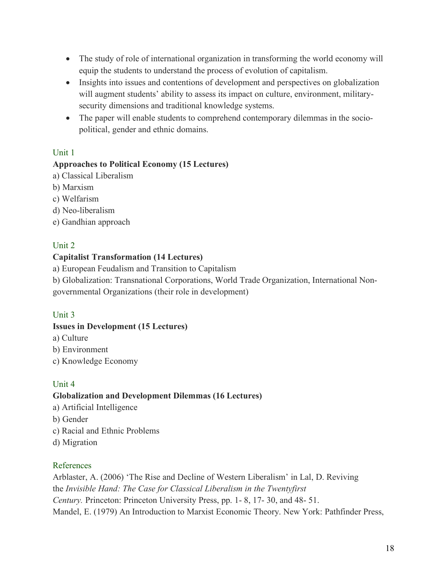- The study of role of international organization in transforming the world economy will equip the students to understand the process of evolution of capitalism.
- Insights into issues and contentions of development and perspectives on globalization will augment students' ability to assess its impact on culture, environment, militarysecurity dimensions and traditional knowledge systems.
- The paper will enable students to comprehend contemporary dilemmas in the sociopolitical, gender and ethnic domains.

### Unit 1

#### **Approaches to Political Economy (15 Lectures)**

- a) Classical Liberalism
- b) Marxism
- c) Welfarism
- d) Neo-liberalism
- e) Gandhian approach

#### Unit 2

#### **Capitalist Transformation (14 Lectures)**

a) European Feudalism and Transition to Capitalism

b) Globalization: Transnational Corporations, World Trade Organization, International Nongovernmental Organizations (their role in development)

#### Unit 3

#### **Issues in Development (15 Lectures)**

- a) Culture
- b) Environment
- c) Knowledge Economy

# Unit 4

#### **Globalization and Development Dilemmas (16 Lectures)**

- a) Artificial Intelligence
- b) Gender
- c) Racial and Ethnic Problems
- d) Migration

#### References

Arblaster, A. (2006) 'The Rise and Decline of Western Liberalism' in Lal, D. Reviving the *Invisible Hand: The Case for Classical Liberalism in the Twentyfirst Century.* Princeton: Princeton University Press, pp. 1- 8, 17- 30, and 48- 51. Mandel, E. (1979) An Introduction to Marxist Economic Theory. New York: Pathfinder Press,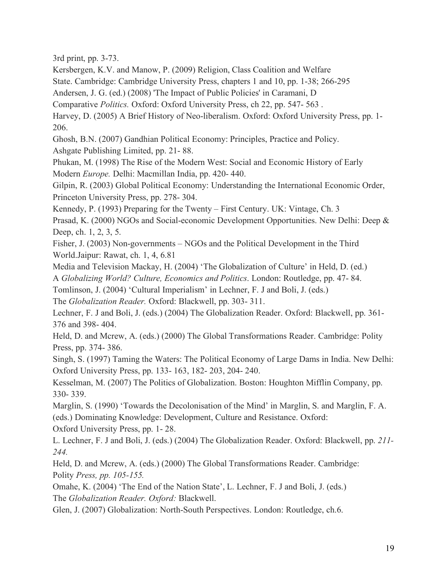3rd print, pp. 3-73.

Kersbergen, K.V. and Manow, P. (2009) Religion, Class Coalition and Welfare

State. Cambridge: Cambridge University Press, chapters 1 and 10, pp. 1-38; 266-295

Andersen, J. G. (ed.) (2008) 'The Impact of Public Policies' in Caramani, D

Comparative *Politics.* Oxford: Oxford University Press, ch 22, pp. 547- 563 .

Harvey, D. (2005) A Brief History of Neo-liberalism. Oxford: Oxford University Press, pp. 1- 206.

Ghosh, B.N. (2007) Gandhian Political Economy: Principles, Practice and Policy.

Ashgate Publishing Limited, pp. 21- 88.

Phukan, M. (1998) The Rise of the Modern West: Social and Economic History of Early Modern *Europe.* Delhi: Macmillan India, pp. 420- 440.

Gilpin, R. (2003) Global Political Economy: Understanding the International Economic Order, Princeton University Press, pp. 278- 304.

Kennedy, P. (1993) Preparing for the Twenty – First Century. UK: Vintage, Ch. 3

Prasad, K. (2000) NGOs and Social-economic Development Opportunities. New Delhi: Deep & Deep, ch. 1, 2, 3, 5.

Fisher, J. (2003) Non-governments – NGOs and the Political Development in the Third World.Jaipur: Rawat, ch. 1, 4, 6.81

Media and Television Mackay, H. (2004) 'The Globalization of Culture' in Held, D. (ed.)

A *Globalizing World? Culture, Economics and Politics*. London: Routledge, pp. 47- 84.

Tomlinson, J. (2004) 'Cultural Imperialism' in Lechner, F. J and Boli, J. (eds.)

The *Globalization Reader.* Oxford: Blackwell, pp. 303- 311.

Lechner, F. J and Boli, J. (eds.) (2004) The Globalization Reader. Oxford: Blackwell, pp. 361- 376 and 398- 404.

Held, D. and Mcrew, A. (eds.) (2000) The Global Transformations Reader. Cambridge: Polity Press, pp. 374- 386.

Singh, S. (1997) Taming the Waters: The Political Economy of Large Dams in India. New Delhi: Oxford University Press, pp. 133- 163, 182- 203, 204- 240.

Kesselman, M. (2007) The Politics of Globalization. Boston: Houghton Mifflin Company, pp. 330- 339.

Marglin, S. (1990) 'Towards the Decolonisation of the Mind' in Marglin, S. and Marglin, F. A. (eds.) Dominating Knowledge: Development, Culture and Resistance. Oxford: Oxford University Press, pp. 1- 28.

L. Lechner, F. J and Boli, J. (eds.) (2004) The Globalization Reader. Oxford: Blackwell, pp. *211- 244.*

Held, D. and Mcrew, A. (eds.) (2000) The Global Transformations Reader. Cambridge: Polity *Press, pp. 105-155.*

Omahe, K. (2004) 'The End of the Nation State', L. Lechner, F. J and Boli, J. (eds.) The *Globalization Reader. Oxford:* Blackwell.

Glen, J. (2007) Globalization: North-South Perspectives. London: Routledge, ch.6.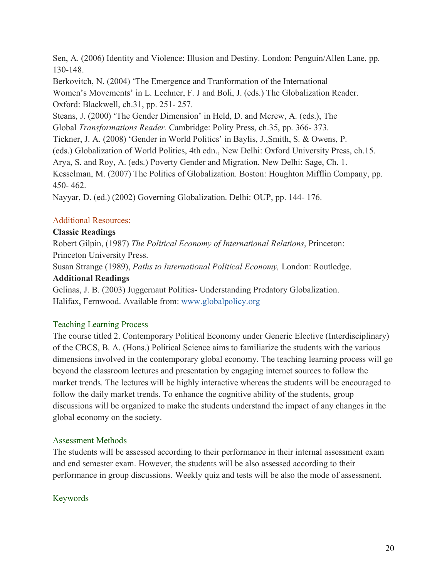Sen, A. (2006) Identity and Violence: Illusion and Destiny. London: Penguin/Allen Lane, pp. 130-148.

Berkovitch, N. (2004) 'The Emergence and Tranformation of the International Women's Movements' in L. Lechner, F. J and Boli, J. (eds.) The Globalization Reader. Oxford: Blackwell, ch.31, pp. 251- 257.

Steans, J. (2000) 'The Gender Dimension' in Held, D. and Mcrew, A. (eds.), The Global *Transformations Reader.* Cambridge: Polity Press, ch.35, pp. 366- 373. Tickner, J. A. (2008) 'Gender in World Politics' in Baylis, J.,Smith, S. & Owens, P. (eds.) Globalization of World Politics, 4th edn., New Delhi: Oxford University Press, ch.15. Arya, S. and Roy, A. (eds.) Poverty Gender and Migration. New Delhi: Sage, Ch. 1. Kesselman, M. (2007) The Politics of Globalization. Boston: Houghton Mifflin Company, pp. 450- 462.

Nayyar, D. (ed.) (2002) Governing Globalization. Delhi: OUP, pp. 144- 176.

### Additional Resources:

### **Classic Readings**

Robert Gilpin, (1987) *The Political Economy of International Relations*, Princeton: Princeton University Press.

Susan Strange (1989), *Paths to International Political Economy,* London: Routledge.

#### **Additional Readings**

Gelinas, J. B. (2003) Juggernaut Politics- Understanding Predatory Globalization. Halifax, Fernwood. Available from: www.globalpolicy.org

# Teaching Learning Process

The course titled 2. Contemporary Political Economy under Generic Elective (Interdisciplinary) of the CBCS, B. A. (Hons.) Political Science aims to familiarize the students with the various dimensions involved in the contemporary global economy. The teaching learning process will go beyond the classroom lectures and presentation by engaging internet sources to follow the market trends. The lectures will be highly interactive whereas the students will be encouraged to follow the daily market trends. To enhance the cognitive ability of the students, group discussions will be organized to make the students understand the impact of any changes in the global economy on the society.

# Assessment Methods

The students will be assessed according to their performance in their internal assessment exam and end semester exam. However, the students will be also assessed according to their performance in group discussions. Weekly quiz and tests will be also the mode of assessment.

# Keywords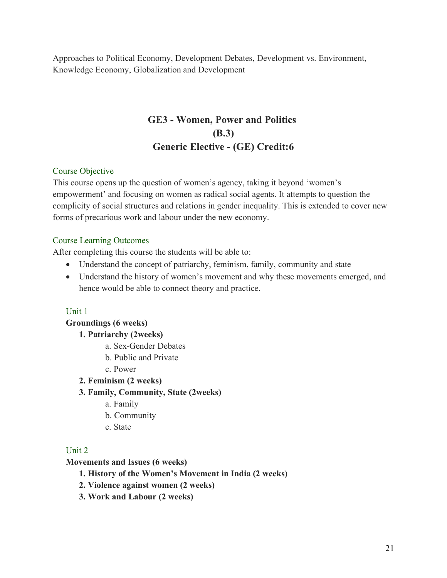Approaches to Political Economy, Development Debates, Development vs. Environment, Knowledge Economy, Globalization and Development

# **GE3 - Women, Power and Politics (B.3) Generic Elective - (GE) Credit:6**

#### Course Objective

This course opens up the question of women's agency, taking it beyond 'women's empowerment' and focusing on women as radical social agents. It attempts to question the complicity of social structures and relations in gender inequality. This is extended to cover new forms of precarious work and labour under the new economy.

#### Course Learning Outcomes

After completing this course the students will be able to:

- Understand the concept of patriarchy, feminism, family, community and state
- Understand the history of women's movement and why these movements emerged, and hence would be able to connect theory and practice.

#### Unit 1

**Groundings (6 weeks)**

- **1. Patriarchy (2weeks)**
	- a. Sex-Gender Debates
	- b. Public and Private
	- c. Power

**2. Feminism (2 weeks)**

#### **3. Family, Community, State (2weeks)**

- a. Family
- b. Community
- c. State

#### Unit 2

**Movements and Issues (6 weeks)**

#### **1. History of the Women's Movement in India (2 weeks)**

- **2. Violence against women (2 weeks)**
- **3. Work and Labour (2 weeks)**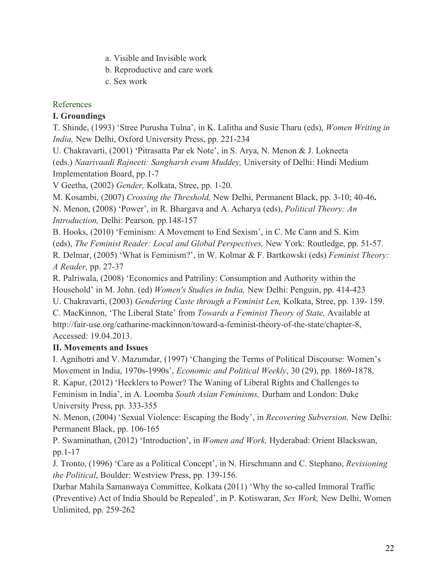- a. Visible and Invisible work
- b. Reproductive and care work
- c. Sex work

#### References

#### **I. Groundings**

T. Shinde, (1993) 'Stree Purusha Tulna', in K. Lalitha and Susie Tharu (eds), *Women Writing in India,* New Delhi, Oxford University Press, pp. 221-234

U. Chakravarti, (2001) 'Pitrasatta Par ek Note', in S. Arya, N. Menon & J. Lokneeta (eds.) *Naarivaadi Rajneeti: Sangharsh evam Muddey,* University of Delhi: Hindi Medium Implementation Board, pp.1-7

V Geetha, (2002) *Gender,* Kolkata, Stree, pp. 1-20.

M. Kosambi, (2007) *Crossing the Threshold,* New Delhi, Permanent Black, pp. 3-10; 40-46**.** N. Menon, (2008) 'Power', in R. Bhargava and A. Acharya (eds), *Political Theory: An Introduction,* Delhi: Pearson*,* pp.148-157

B. Hooks, (2010) 'Feminism: A Movement to End Sexism', in C. Mc Cann and S. Kim (eds), *The Feminist Reader: Local and Global Perspectives,* New York: Routledge, pp. 51-57. R. Delmar, (2005) 'What is Feminism?', in W. Kolmar & F. Bartkowski (eds) *Feminist Theory: A Reader,* pp. 27-37

R. Palriwala, (2008) 'Economics and Patriliny: Consumption and Authority within the Household' in M. John. (ed) *Women's Studies in India,* New Delhi: Penguin, pp. 414-423 U. Chakravarti, (2003) *Gendering Caste through a Feminist Len,* Kolkata, Stree, pp. 139- 159.

C. MacKinnon, 'The Liberal State' from *Towards a Feminist Theory of State,* Available at http://fair-use.org/catharine-mackinnon/toward-a-feminist-theory-of-the-state/chapter-8, Accessed: 19.04.2013.

#### **II. Movements and Issues**

I. Agnihotri and V. Mazumdar, (1997) 'Changing the Terms of Political Discourse: Women's Movement in India, 1970s-1990s', *Economic and Political Weekly*, 30 (29), pp. 1869-1878. R. Kapur, (2012) 'Hecklers to Power? The Waning of Liberal Rights and Challenges to Feminism in India', in A. Loomba *South Asian Feminisms,* Durham and London: Duke University Press, pp. 333-355

N. Menon, (2004) 'Sexual Violence: Escaping the Body', in *Recovering Subversion,* New Delhi: Permanent Black, pp. 106-165

P. Swaminathan, (2012) 'Introduction', in *Women and Work,* Hyderabad: Orient Blackswan, pp.1-17

J. Tronto, (1996) 'Care as a Political Concept', in N. Hirschmann and C. Stephano, *Revisioning the Political*, Boulder: Westview Press, pp. 139-156.

Darbar Mahila Samanwaya Committee, Kolkata (2011) 'Why the so-called Immoral Traffic (Preventive) Act of India Should be Repealed', in P. Kotiswaran, *Sex Work,* New Delhi, Women Unlimited, pp. 259-262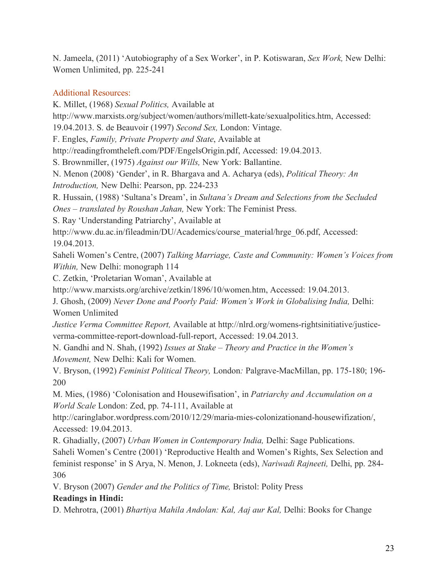N. Jameela, (2011) 'Autobiography of a Sex Worker', in P. Kotiswaran, *Sex Work,* New Delhi: Women Unlimited, pp. 225-241

### Additional Resources:

K. Millet, (1968) *Sexual Politics,* Available at http://www.marxists.org/subject/women/authors/millett-kate/sexualpolitics.htm, Accessed: 19.04.2013. S. de Beauvoir (1997) *Second Sex,* London: Vintage. F. Engles, *Family, Private Property and State*, Available at http://readingfromtheleft.com/PDF/EngelsOrigin.pdf, Accessed: 19.04.2013. S. Brownmiller, (1975) *Against our Wills,* New York: Ballantine. N. Menon (2008) 'Gender', in R. Bhargava and A. Acharya (eds), *Political Theory: An Introduction,* New Delhi: Pearson, pp. 224-233 R. Hussain, (1988) 'Sultana's Dream', in *Sultana's Dream and Selections from the Secluded Ones – translated by Roushan Jahan,* New York: The Feminist Press. S. Ray 'Understanding Patriarchy', Available at http://www.du.ac.in/fileadmin/DU/Academics/course\_material/hrge\_06.pdf, Accessed: 19.04.2013. Saheli Women's Centre, (2007) *Talking Marriage, Caste and Community: Women's Voices from Within,* New Delhi: monograph 114 C. Zetkin, 'Proletarian Woman', Available at http://www.marxists.org/archive/zetkin/1896/10/women.htm, Accessed: 19.04.2013. J. Ghosh, (2009) *Never Done and Poorly Paid: Women's Work in Globalising India,* Delhi: Women Unlimited *Justice Verma Committee Report,* Available at http://nlrd.org/womens-rightsinitiative/justiceverma-committee-report-download-full-report, Accessed: 19.04.2013. N. Gandhi and N. Shah, (1992) *Issues at Stake – Theory and Practice in the Women's Movement,* New Delhi: Kali for Women. V. Bryson, (1992) *Feminist Political Theory,* London*:* Palgrave-MacMillan, pp. 175-180; 196- 200 M. Mies, (1986) 'Colonisation and Housewifisation', in *Patriarchy and Accumulation on a World Scale* London: Zed, pp. 74-111, Available at http://caringlabor.wordpress.com/2010/12/29/maria-mies-colonizationand-housewifization/, Accessed: 19.04.2013. R. Ghadially, (2007) *Urban Women in Contemporary India,* Delhi: Sage Publications. Saheli Women's Centre (2001) 'Reproductive Health and Women's Rights, Sex Selection and feminist response' in S Arya, N. Menon, J. Lokneeta (eds), *Nariwadi Rajneeti,* Delhi, pp. 284- 306

V. Bryson (2007) *Gender and the Politics of Time,* Bristol: Polity Press

# **Readings in Hindi:**

D. Mehrotra, (2001) *Bhartiya Mahila Andolan: Kal, Aaj aur Kal,* Delhi: Books for Change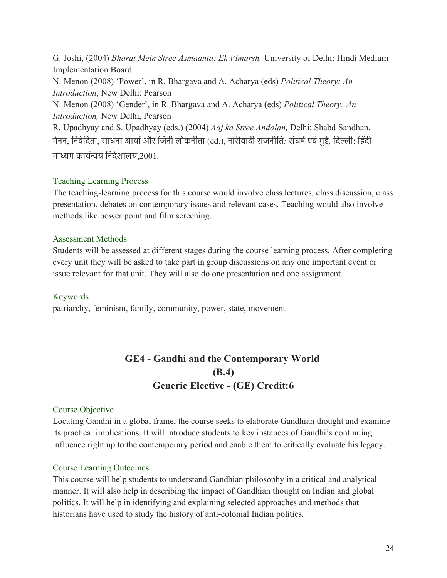G. Joshi, (2004) *Bharat Mein Stree Asmaanta: Ek Vimarsh,* University of Delhi: Hindi Medium Implementation Board N. Menon (2008) 'Power', in R. Bhargava and A. Acharya (eds) *Political Theory: An Introduction*, New Delhi: Pearson N. Menon (2008) 'Gender', in R. Bhargava and A. Acharya (eds) *Political Theory: An Introduction,* New Delhi, Pearson R. Upadhyay and S. Upadhyay (eds.) (2004) *Aaj ka Stree Andolan,* Delhi: Shabd Sandhan. मेनन, िनवेिदता, साधना आयारऔर िजनी लोकनीता (ed.), नारीवादी राजनीित*:* संघषरएवं मुदे*,* िदली: िहं दी माधम कायरनय िनदेशालय,2001.

#### Teaching Learning Process

The teaching-learning process for this course would involve class lectures, class discussion, class presentation, debates on contemporary issues and relevant cases. Teaching would also involve methods like power point and film screening.

#### Assessment Methods

Students will be assessed at different stages during the course learning process. After completing every unit they will be asked to take part in group discussions on any one important event or issue relevant for that unit. They will also do one presentation and one assignment.

#### Keywords

patriarchy, feminism, family, community, power, state, movement

# **GE4 - Gandhi and the Contemporary World (B.4) Generic Elective - (GE) Credit:6**

#### Course Objective

Locating Gandhi in a global frame, the course seeks to elaborate Gandhian thought and examine its practical implications. It will introduce students to key instances of Gandhi's continuing influence right up to the contemporary period and enable them to critically evaluate his legacy.

#### Course Learning Outcomes

This course will help students to understand Gandhian philosophy in a critical and analytical manner. It will also help in describing the impact of Gandhian thought on Indian and global politics. It will help in identifying and explaining selected approaches and methods that historians have used to study the history of anti-colonial Indian politics.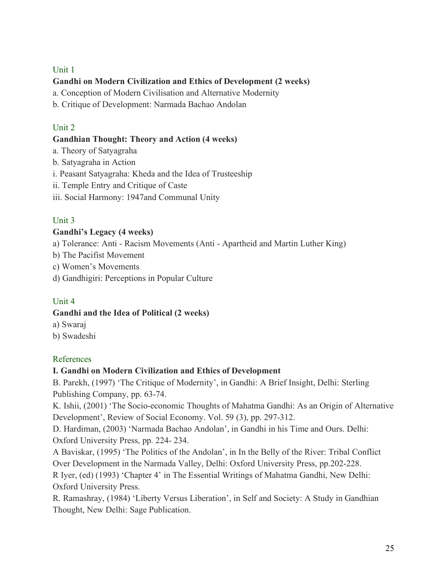#### Unit 1

### **Gandhi on Modern Civilization and Ethics of Development (2 weeks)**

a. Conception of Modern Civilisation and Alternative Modernity

b. Critique of Development: Narmada Bachao Andolan

### Unit 2

### **Gandhian Thought: Theory and Action (4 weeks)**

- a. Theory of Satyagraha
- b. Satyagraha in Action
- i. Peasant Satyagraha: Kheda and the Idea of Trusteeship
- ii. Temple Entry and Critique of Caste
- iii. Social Harmony: 1947and Communal Unity

### Unit 3

### **Gandhi's Legacy (4 weeks)**

a) Tolerance: Anti - Racism Movements (Anti - Apartheid and Martin Luther King)

- b) The Pacifist Movement
- c) Women's Movements
- d) Gandhigiri: Perceptions in Popular Culture

# Unit 4

#### **Gandhi and the Idea of Political (2 weeks)**

- a) Swaraj
- b) Swadeshi

# References

#### **I. Gandhi on Modern Civilization and Ethics of Development**

B. Parekh, (1997) 'The Critique of Modernity', in Gandhi: A Brief Insight, Delhi: Sterling Publishing Company, pp. 63-74.

K. Ishii, (2001) 'The Socio-economic Thoughts of Mahatma Gandhi: As an Origin of Alternative Development', Review of Social Economy. Vol. 59 (3), pp. 297-312.

D. Hardiman, (2003) 'Narmada Bachao Andolan', in Gandhi in his Time and Ours. Delhi: Oxford University Press, pp. 224- 234.

A Baviskar, (1995) 'The Politics of the Andolan', in In the Belly of the River: Tribal Conflict Over Development in the Narmada Valley, Delhi: Oxford University Press, pp.202-228.

R Iyer, (ed) (1993) 'Chapter 4' in The Essential Writings of Mahatma Gandhi, New Delhi: Oxford University Press.

R. Ramashray, (1984) 'Liberty Versus Liberation', in Self and Society: A Study in Gandhian Thought, New Delhi: Sage Publication.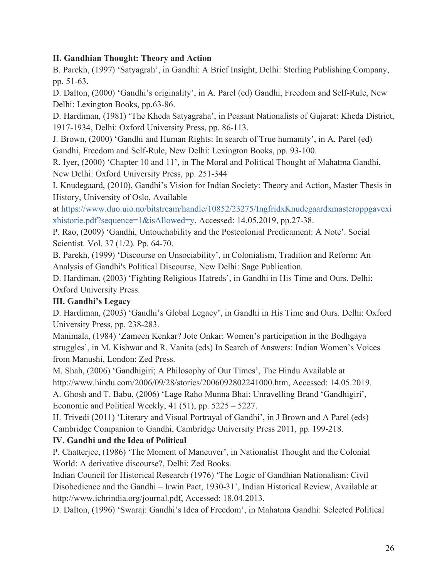#### **II. Gandhian Thought: Theory and Action**

B. Parekh, (1997) 'Satyagrah', in Gandhi: A Brief Insight, Delhi: Sterling Publishing Company, pp. 51-63.

D. Dalton, (2000) 'Gandhi's originality', in A. Parel (ed) Gandhi, Freedom and Self-Rule, New Delhi: Lexington Books, pp.63-86.

D. Hardiman, (1981) 'The Kheda Satyagraha', in Peasant Nationalists of Gujarat: Kheda District, 1917-1934, Delhi: Oxford University Press, pp. 86-113.

J. Brown, (2000) 'Gandhi and Human Rights: In search of True humanity', in A. Parel (ed) Gandhi, Freedom and Self-Rule, New Delhi: Lexington Books, pp. 93-100.

R. Iyer, (2000) 'Chapter 10 and 11', in The Moral and Political Thought of Mahatma Gandhi, New Delhi: Oxford University Press, pp. 251-344

I. Knudegaard, (2010), Gandhi's Vision for Indian Society: Theory and Action, Master Thesis in History, University of Oslo, Available

at https://www.duo.uio.no/bitstream/handle/10852/23275/IngfridxKnudegaardxmasteroppgavexi xhistorie.pdf?sequence=1&isAllowed=y, Accessed: 14.05.2019, pp.27-38.

P. Rao, (2009) 'Gandhi, Untouchability and the Postcolonial Predicament: A Note'. Social Scientist. Vol. 37 (1/2). Pp. 64-70.

B. Parekh, (1999) 'Discourse on Unsociability', in Colonialism, Tradition and Reform: An Analysis of Gandhi's Political Discourse, New Delhi: Sage Publication.

D. Hardiman, (2003) 'Fighting Religious Hatreds', in Gandhi in His Time and Ours. Delhi: Oxford University Press.

#### **III. Gandhi's Legacy**

D. Hardiman, (2003) 'Gandhi's Global Legacy', in Gandhi in His Time and Ours. Delhi: Oxford University Press, pp. 238-283.

Manimala, (1984) 'Zameen Kenkar? Jote Onkar: Women's participation in the Bodhgaya struggles', in M. Kishwar and R. Vanita (eds) In Search of Answers: Indian Women's Voices from Manushi, London: Zed Press.

M. Shah, (2006) 'Gandhigiri; A Philosophy of Our Times', The Hindu Available at http://www.hindu.com/2006/09/28/stories/2006092802241000.htm, Accessed: 14.05.2019. A. Ghosh and T. Babu, (2006) 'Lage Raho Munna Bhai: Unravelling Brand 'Gandhigiri', Economic and Political Weekly, 41 (51), pp. 5225 – 5227.

H. Trivedi (2011) 'Literary and Visual Portrayal of Gandhi', in J Brown and A Parel (eds) Cambridge Companion to Gandhi, Cambridge University Press 2011, pp. 199-218.

#### **IV. Gandhi and the Idea of Political**

P. Chatterjee, (1986) 'The Moment of Maneuver', in Nationalist Thought and the Colonial World: A derivative discourse?, Delhi: Zed Books.

Indian Council for Historical Research (1976) 'The Logic of Gandhian Nationalism: Civil Disobedience and the Gandhi – Irwin Pact, 1930-31', Indian Historical Review, Available at http://www.ichrindia.org/journal.pdf, Accessed: 18.04.2013.

D. Dalton, (1996) 'Swaraj: Gandhi's Idea of Freedom', in Mahatma Gandhi: Selected Political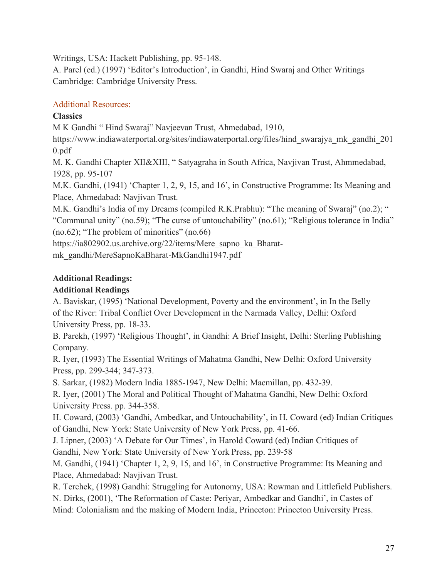Writings, USA: Hackett Publishing, pp. 95-148.

A. Parel (ed.) (1997) 'Editor's Introduction', in Gandhi, Hind Swaraj and Other Writings Cambridge: Cambridge University Press.

# Additional Resources:

# **Classics**

M K Gandhi " Hind Swaraj" Navjeevan Trust, Ahmedabad, 1910,

https://www.indiawaterportal.org/sites/indiawaterportal.org/files/hind\_swarajya\_mk\_gandhi\_201 0.pdf

M. K. Gandhi Chapter XII&XIII, " Satyagraha in South Africa, Navjivan Trust, Ahmmedabad, 1928, pp. 95-107

M.K. Gandhi, (1941) 'Chapter 1, 2, 9, 15, and 16', in Constructive Programme: Its Meaning and Place, Ahmedabad: Navjivan Trust.

M.K. Gandhi's India of my Dreams (compiled R.K.Prabhu): "The meaning of Swaraj" (no.2); " "Communal unity" (no.59); "The curse of untouchability" (no.61); "Religious tolerance in India" (no.62); "The problem of minorities" (no.66)

https://ia802902.us.archive.org/22/items/Mere\_sapno\_ka\_Bharat-

mk\_gandhi/MereSapnoKaBharat-MkGandhi1947.pdf

# **Additional Readings:**

# **Additional Readings**

A. Baviskar, (1995) 'National Development, Poverty and the environment', in In the Belly of the River: Tribal Conflict Over Development in the Narmada Valley, Delhi: Oxford University Press, pp. 18-33.

B. Parekh, (1997) 'Religious Thought', in Gandhi: A Brief Insight, Delhi: Sterling Publishing Company.

R. Iyer, (1993) The Essential Writings of Mahatma Gandhi, New Delhi: Oxford University Press, pp. 299-344; 347-373.

S. Sarkar, (1982) Modern India 1885-1947, New Delhi: Macmillan, pp. 432-39.

R. Iyer, (2001) The Moral and Political Thought of Mahatma Gandhi, New Delhi: Oxford University Press. pp. 344-358.

H. Coward, (2003) 'Gandhi, Ambedkar, and Untouchability', in H. Coward (ed) Indian Critiques of Gandhi, New York: State University of New York Press, pp. 41-66.

J. Lipner, (2003) 'A Debate for Our Times', in Harold Coward (ed) Indian Critiques of Gandhi, New York: State University of New York Press, pp. 239-58

M. Gandhi, (1941) 'Chapter 1, 2, 9, 15, and 16', in Constructive Programme: Its Meaning and Place, Ahmedabad: Navjivan Trust.

R. Terchek, (1998) Gandhi: Struggling for Autonomy, USA: Rowman and Littlefield Publishers.

N. Dirks, (2001), 'The Reformation of Caste: Periyar, Ambedkar and Gandhi', in Castes of Mind: Colonialism and the making of Modern India, Princeton: Princeton University Press.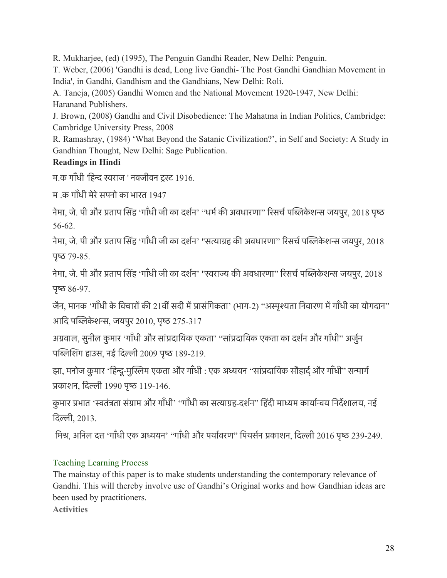R. Mukharjee, (ed) (1995), The Penguin Gandhi Reader, New Delhi: Penguin.

T. Weber, (2006) 'Gandhi is dead, Long live Gandhi- The Post Gandhi Gandhian Movement in India', in Gandhi, Gandhism and the Gandhians, New Delhi: Roli.

A. Taneja, (2005) Gandhi Women and the National Movement 1920-1947, New Delhi: Haranand Publishers.

J. Brown, (2008) Gandhi and Civil Disobedience: The Mahatma in Indian Politics, Cambridge: Cambridge University Press, 2008

R. Ramashray, (1984) 'What Beyond the Satanic Civilization?', in Self and Society: A Study in Gandhian Thought, New Delhi: Sage Publication.

# **Readings in Hindi**

म.क गाँधी 'हिन्द स्वराज ' नवजीवन ट्रस्ट 1916.

म) क गाँधी मेरे सपनो का भारत 1947

नेमा, जे. पी और प्रताप सिंह 'गाँधी जी का दर्शन' "धर्म की अवधारणा" रिसर्च पब्लिकेशन्स जयपुर, 2018 पृष्ठ 56-62.

नेमा, जे. पी और प्रताप सिंह 'गाँधी जी का दर्शन' "सत्याग्रह की अवधारणा" रिसर्च पब्लिकेशन्स जयपुर, 2018  $45 - 79 - 85$ .

नेमा, जे. पी और प्रताप सिंह 'गाँधी जी का दर्शन' "स्वराज्य की अवधारणा" रिसर्च पब्लिकेशन्स जयपुर, 2018 पृष्ठ  $86-97$ .

जैन, मानक 'गाँधी के विचारों की 21वीं सदी में प्रासंगिकता' (भाग-2) "अस्पृश्यता निवारण में गाँधी का योगदान" आदि पब्लिकेशन्स, जयपुर 2010, पृष्ठ 275-317

अग्रवाल, सुनील कुमार 'गाँधी और सांप्रदायिक एकता' ''सांप्रदायिक एकता का दर्शन और गाँधी'' अर्जुन पब्लिशिंग हाउस, नई दिल्ली 2009 पृष्ठ 189-219.

झा, मनोज कुमार 'हिन्दू-मुस्लिम एकता और गाँधी : एक अध्ययन ''सांप्रदायिक सौहार्द और गाँधी'' सन्मार्ग पकाशन, िदली 1990 पृष 119-146.

कुमार प्रभात 'स्वतंत्रता संग्राम और गाँधी' "गाँधी का सत्याग्रह-दर्शन" हिंदी माध्यम कार्यान्वय निर्देशालय, नई िदली, 2013.

मिश्र, अनिल दत्त 'गाँधी एक अध्ययन' "गाँधी और पर्यावरण" पियर्सन प्रकाशन, दिल्ली 2016 पृष्ठ 239-249.

# Teaching Learning Process

The mainstay of this paper is to make students understanding the contemporary relevance of Gandhi. This will thereby involve use of Gandhi's Original works and how Gandhian ideas are been used by practitioners.

**Activities**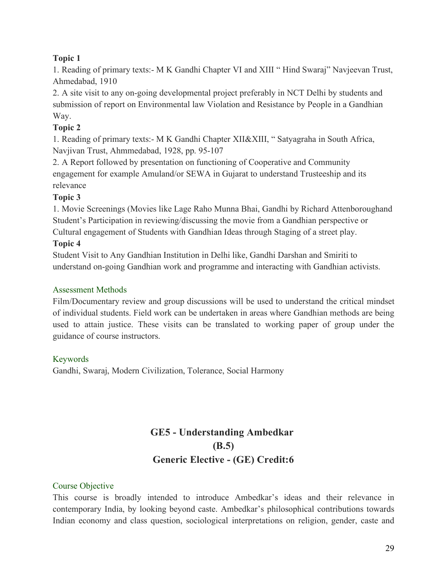#### **Topic 1**

1. Reading of primary texts:- M K Gandhi Chapter VI and XIII " Hind Swaraj" Navjeevan Trust, Ahmedabad, 1910

2. A site visit to any on-going developmental project preferably in NCT Delhi by students and submission of report on Environmental law Violation and Resistance by People in a Gandhian Way.

# **Topic 2**

1. Reading of primary texts:- M K Gandhi Chapter XII&XIII, " Satyagraha in South Africa, Navjivan Trust, Ahmmedabad, 1928, pp. 95-107

2. A Report followed by presentation on functioning of Cooperative and Community engagement for example Amuland/or SEWA in Gujarat to understand Trusteeship and its relevance

# **Topic 3**

1. Movie Screenings (Movies like Lage Raho Munna Bhai, Gandhi by Richard Attenboroughand Student's Participation in reviewing/discussing the movie from a Gandhian perspective or Cultural engagement of Students with Gandhian Ideas through Staging of a street play.

### **Topic 4**

Student Visit to Any Gandhian Institution in Delhi like, Gandhi Darshan and Smiriti to understand on-going Gandhian work and programme and interacting with Gandhian activists.

#### Assessment Methods

Film/Documentary review and group discussions will be used to understand the critical mindset of individual students. Field work can be undertaken in areas where Gandhian methods are being used to attain justice. These visits can be translated to working paper of group under the guidance of course instructors.

# Keywords

Gandhi, Swaraj, Modern Civilization, Tolerance, Social Harmony

# **GE5 - Understanding Ambedkar (B.5) Generic Elective - (GE) Credit:6**

# Course Objective

This course is broadly intended to introduce Ambedkar's ideas and their relevance in contemporary India, by looking beyond caste. Ambedkar's philosophical contributions towards Indian economy and class question, sociological interpretations on religion, gender, caste and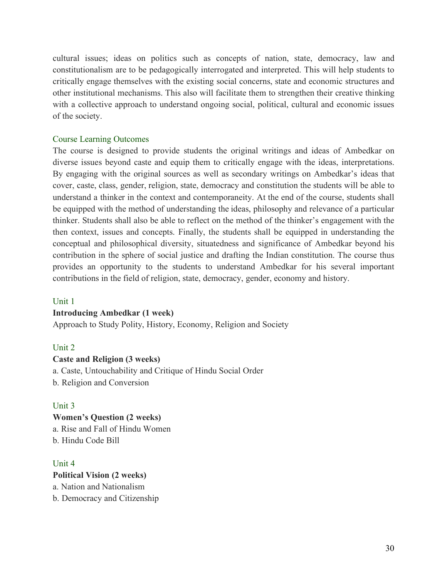cultural issues; ideas on politics such as concepts of nation, state, democracy, law and constitutionalism are to be pedagogically interrogated and interpreted. This will help students to critically engage themselves with the existing social concerns, state and economic structures and other institutional mechanisms. This also will facilitate them to strengthen their creative thinking with a collective approach to understand ongoing social, political, cultural and economic issues of the society.

#### Course Learning Outcomes

The course is designed to provide students the original writings and ideas of Ambedkar on diverse issues beyond caste and equip them to critically engage with the ideas, interpretations. By engaging with the original sources as well as secondary writings on Ambedkar's ideas that cover, caste, class, gender, religion, state, democracy and constitution the students will be able to understand a thinker in the context and contemporaneity. At the end of the course, students shall be equipped with the method of understanding the ideas, philosophy and relevance of a particular thinker. Students shall also be able to reflect on the method of the thinker's engagement with the then context, issues and concepts. Finally, the students shall be equipped in understanding the conceptual and philosophical diversity, situatedness and significance of Ambedkar beyond his contribution in the sphere of social justice and drafting the Indian constitution. The course thus provides an opportunity to the students to understand Ambedkar for his several important contributions in the field of religion, state, democracy, gender, economy and history.

#### Unit 1

#### **Introducing Ambedkar (1 week)**

Approach to Study Polity, History, Economy, Religion and Society

#### Unit 2

#### **Caste and Religion (3 weeks)**

a. Caste, Untouchability and Critique of Hindu Social Order

b. Religion and Conversion

#### Unit 3

#### **Women's Question (2 weeks)** a. Rise and Fall of Hindu Women b. Hindu Code Bill

#### Unit 4

**Political Vision (2 weeks)** a. Nation and Nationalism b. Democracy and Citizenship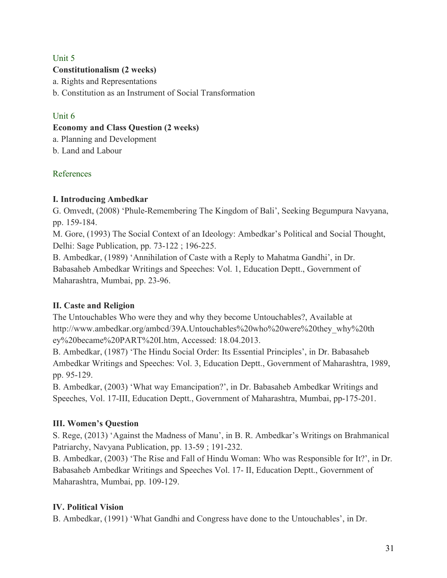#### Unit 5

#### **Constitutionalism (2 weeks)**

a. Rights and Representations

b. Constitution as an Instrument of Social Transformation

#### Unit 6

#### **Economy and Class Question (2 weeks)**

a. Planning and Development

b. Land and Labour

#### References

#### **I. Introducing Ambedkar**

G. Omvedt, (2008) 'Phule-Remembering The Kingdom of Bali', Seeking Begumpura Navyana, pp. 159-184.

M. Gore, (1993) The Social Context of an Ideology: Ambedkar's Political and Social Thought, Delhi: Sage Publication, pp. 73-122 ; 196-225.

B. Ambedkar, (1989) 'Annihilation of Caste with a Reply to Mahatma Gandhi', in Dr. Babasaheb Ambedkar Writings and Speeches: Vol. 1, Education Deptt., Government of Maharashtra, Mumbai, pp. 23-96.

#### **II. Caste and Religion**

The Untouchables Who were they and why they become Untouchables?, Available at http://www.ambedkar.org/ambcd/39A.Untouchables%20who%20were%20they\_why%20th ey%20became%20PART%20I.htm, Accessed: 18.04.2013.

B. Ambedkar, (1987) 'The Hindu Social Order: Its Essential Principles', in Dr. Babasaheb Ambedkar Writings and Speeches: Vol. 3, Education Deptt., Government of Maharashtra, 1989, pp. 95-129.

B. Ambedkar, (2003) 'What way Emancipation?', in Dr. Babasaheb Ambedkar Writings and Speeches, Vol. 17-III, Education Deptt., Government of Maharashtra, Mumbai, pp-175-201.

#### **III. Women's Question**

S. Rege, (2013) 'Against the Madness of Manu', in B. R. Ambedkar's Writings on Brahmanical Patriarchy, Navyana Publication, pp. 13-59 ; 191-232.

B. Ambedkar, (2003) 'The Rise and Fall of Hindu Woman: Who was Responsible for It?', in Dr. Babasaheb Ambedkar Writings and Speeches Vol. 17- II, Education Deptt., Government of Maharashtra, Mumbai, pp. 109-129.

#### **IV. Political Vision**

B. Ambedkar, (1991) 'What Gandhi and Congress have done to the Untouchables', in Dr.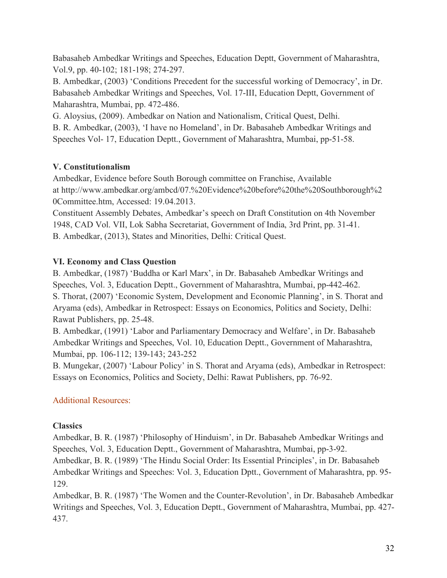Babasaheb Ambedkar Writings and Speeches, Education Deptt, Government of Maharashtra, Vol.9, pp. 40-102; 181-198; 274-297.

B. Ambedkar, (2003) 'Conditions Precedent for the successful working of Democracy', in Dr. Babasaheb Ambedkar Writings and Speeches, Vol. 17-III, Education Deptt, Government of Maharashtra, Mumbai, pp. 472-486.

G. Aloysius, (2009). Ambedkar on Nation and Nationalism, Critical Quest, Delhi.

B. R. Ambedkar, (2003), 'I have no Homeland', in Dr. Babasaheb Ambedkar Writings and Speeches Vol- 17, Education Deptt., Government of Maharashtra, Mumbai, pp-51-58.

# **V. Constitutionalism**

Ambedkar, Evidence before South Borough committee on Franchise, Available at http://www.ambedkar.org/ambcd/07.%20Evidence%20before%20the%20Southborough%2 0Committee.htm, Accessed: 19.04.2013.

Constituent Assembly Debates, Ambedkar's speech on Draft Constitution on 4th November 1948, CAD Vol. VII, Lok Sabha Secretariat, Government of India, 3rd Print, pp. 31-41. B. Ambedkar, (2013), States and Minorities, Delhi: Critical Quest.

# **VI. Economy and Class Question**

B. Ambedkar, (1987) 'Buddha or Karl Marx', in Dr. Babasaheb Ambedkar Writings and Speeches, Vol. 3, Education Deptt., Government of Maharashtra, Mumbai, pp-442-462. S. Thorat, (2007) 'Economic System, Development and Economic Planning', in S. Thorat and

Aryama (eds), Ambedkar in Retrospect: Essays on Economics, Politics and Society, Delhi: Rawat Publishers, pp. 25-48.

B. Ambedkar, (1991) 'Labor and Parliamentary Democracy and Welfare', in Dr. Babasaheb Ambedkar Writings and Speeches, Vol. 10, Education Deptt., Government of Maharashtra, Mumbai, pp. 106-112; 139-143; 243-252

B. Mungekar, (2007) 'Labour Policy' in S. Thorat and Aryama (eds), Ambedkar in Retrospect: Essays on Economics, Politics and Society, Delhi: Rawat Publishers, pp. 76-92.

# Additional Resources:

# **Classics**

Ambedkar, B. R. (1987) 'Philosophy of Hinduism', in Dr. Babasaheb Ambedkar Writings and Speeches, Vol. 3, Education Deptt., Government of Maharashtra, Mumbai, pp-3-92.

Ambedkar, B. R. (1989) 'The Hindu Social Order: Its Essential Principles', in Dr. Babasaheb Ambedkar Writings and Speeches: Vol. 3, Education Dptt., Government of Maharashtra, pp. 95- 129.

Ambedkar, B. R. (1987) 'The Women and the Counter-Revolution', in Dr. Babasaheb Ambedkar Writings and Speeches, Vol. 3, Education Deptt., Government of Maharashtra, Mumbai, pp. 427- 437.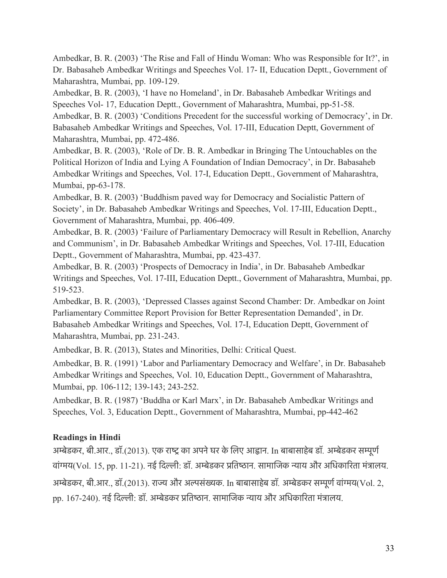Ambedkar, B. R. (2003) 'The Rise and Fall of Hindu Woman: Who was Responsible for It?', in Dr. Babasaheb Ambedkar Writings and Speeches Vol. 17- II, Education Deptt., Government of Maharashtra, Mumbai, pp. 109-129.

Ambedkar, B. R. (2003), 'I have no Homeland', in Dr. Babasaheb Ambedkar Writings and Speeches Vol- 17, Education Deptt., Government of Maharashtra, Mumbai, pp-51-58.

Ambedkar, B. R. (2003) 'Conditions Precedent for the successful working of Democracy', in Dr. Babasaheb Ambedkar Writings and Speeches, Vol. 17-III, Education Deptt, Government of Maharashtra, Mumbai, pp. 472-486.

Ambedkar, B. R. (2003), 'Role of Dr. B. R. Ambedkar in Bringing The Untouchables on the Political Horizon of India and Lying A Foundation of Indian Democracy', in Dr. Babasaheb Ambedkar Writings and Speeches, Vol. 17-I, Education Deptt., Government of Maharashtra, Mumbai, pp-63-178.

Ambedkar, B. R. (2003) 'Buddhism paved way for Democracy and Socialistic Pattern of Society', in Dr. Babasaheb Ambedkar Writings and Speeches, Vol. 17-III, Education Deptt., Government of Maharashtra, Mumbai, pp. 406-409.

Ambedkar, B. R. (2003) 'Failure of Parliamentary Democracy will Result in Rebellion, Anarchy and Communism', in Dr. Babasaheb Ambedkar Writings and Speeches, Vol. 17-III, Education Deptt., Government of Maharashtra, Mumbai, pp. 423-437.

Ambedkar, B. R. (2003) 'Prospects of Democracy in India', in Dr. Babasaheb Ambedkar Writings and Speeches, Vol. 17-III, Education Deptt., Government of Maharashtra, Mumbai, pp. 519-523.

Ambedkar, B. R. (2003), 'Depressed Classes against Second Chamber: Dr. Ambedkar on Joint Parliamentary Committee Report Provision for Better Representation Demanded', in Dr. Babasaheb Ambedkar Writings and Speeches, Vol. 17-I, Education Deptt, Government of Maharashtra, Mumbai, pp. 231-243.

Ambedkar, B. R. (2013), States and Minorities, Delhi: Critical Quest.

Ambedkar, B. R. (1991) 'Labor and Parliamentary Democracy and Welfare', in Dr. Babasaheb Ambedkar Writings and Speeches, Vol. 10, Education Deptt., Government of Maharashtra, Mumbai, pp. 106-112; 139-143; 243-252.

Ambedkar, B. R. (1987) 'Buddha or Karl Marx', in Dr. Babasaheb Ambedkar Writings and Speeches, Vol. 3, Education Deptt., Government of Maharashtra, Mumbai, pp-442-462

#### **Readings in Hindi**

अम्बेडकर, बी.आर., डॉ.(2013). एक राष्ट्र का अपने घर के लिए आह्वान. In बाबासाहेब डॉ. अम्बेडकर सम्पूर्ण वांगय(Vol. 15, pp. 11-21). नई िदली: डॉ. अमेडकर पितषान. सामािजक नाय और अिधकािरता मंतालय. अम्बेडकर, बी.आर., डॉ.(2013). राज्य और अल्पसंख्यक. In बाबासाहेब डॉ. अम्बेडकर सम्पूर्ण वांग्मय(Vol. 2, pp. 167-240). नई दिल्ली: डॉ. अम्बेडकर प्रतिष्ठान. सामाजिक न्याय और अधिकारिता मंत्रालय.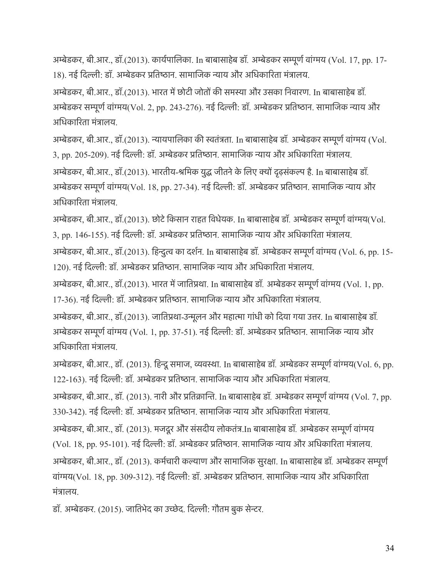अमेडकर, बी.आर., डॉ.(2013). कायरपािलका. In बाबासाहेब डॉ*.* अमेडकर समूणरवांगय (Vol. 17, pp. 17- 18). नई दिल्ली: डॉ. अम्बेडकर प्रतिष्ठान. सामाजिक न्याय और अधिकारिता मंत्रालय.

अमेडकर, बी.आर., डॉ.(2013). भारत मेछोटी जोतो की समसा और उसका िनवारण. In बाबासाहेब डॉ*.*  अम्बेडकर सम्पूर्ण वांग्मय(Vol. 2, pp. 243-276). नई दिल्ली: डॉ. अम्बेडकर प्रतिष्ठान. सामाजिक न्याय और अधिकारिता मंत्रालय.

अमेडकर, बी.आर., डॉ.(2013). नायपािलका की सतंतता. In बाबासाहेब डॉ*.* अमेडकर समूणरवांगय (Vol. 3, pp. 205-209). नई दिल्ली: डॉ. अम्बेडकर प्रतिष्ठान. सामाजिक न्याय और अधिकारिता मंत्रालय.

अमेडकर, बी.आर., डॉ.(2013). भारतीय-शिमक युद जीतनेके िलए को दढ़संकल है. In बाबासाहेब डॉ*.*  अम्बेडकर सम्पूर्ण वांग्मय(Vol. 18, pp. 27-34). नई दिल्ली: डॉ. अम्बेडकर प्रतिष्ठान. सामाजिक न्याय और अधिकारिता मंत्रालय.

अमेडकर, बी.आर., डॉ.(2013). छोटेिकसान राहत िवधेयक. In बाबासाहेब डॉ*.* अमेडकर समूणरवांगय(Vol. 3, pp. 146-155). नई दिल्ली: डॉ. अम्बेडकर प्रतिष्ठान. सामाजिक न्याय और अधिकारिता मंत्रालय.

अमेडकर, बी.आर., डॉ.(2013). िहनुत का दशरन. In बाबासाहेब डॉ*.* अमेडकर समूणरवांगय (Vol. 6, pp. 15- 120). नई दिल्ली: डॉ. अम्बेडकर प्रतिष्ठान. सामाजिक न्याय और अधिकारिता मंत्रालय.

अमेडकर, बी.आर., डॉ.(2013). भारत मेजाितपथा. In बाबासाहेब डॉ*.* अमेडकर समूणरवांगय (Vol. 1, pp. 17-36). नई दिल्ली: डॉ. अम्बेडकर प्रतिष्ठान. सामाजिक न्याय और अधिकारिता मंत्रालय.

अमेडकर, बी.आर., डॉ.(2013). जाितपथा-उनूलन और महाता गांधी को िदया गया उतर. In बाबासाहेब डॉ*.*  अम्बेडकर सम्पूर्ण वांग्मय (Vol. 1, pp. 37-51). नई दिल्ली: डॉ. अम्बेडकर प्रतिष्ठान. सामाजिक न्याय और अधिकारिता मंत्रालय.

अमेडकर, बी.आर., डॉ. (2013). िहनूसमाज, ववसा. In बाबासाहेब डॉ*.* अमेडकर समूणरवांगय(Vol. 6, pp. 122-163). नई िदली: डॉ. अमेडकर पितषान. सामािजक नाय और अिधकािरता मंतालय.

अमेडकर, बी.आर., डॉ. (2013). नारी और पितकािन. In बाबासाहेब डॉ*.* अमेडकर समूणरवांगय (Vol. 7, pp. 330-342). नई िदली: डॉ. अमेडकर पितषान. सामािजक नाय और अिधकािरता मंतालय.

अमेडकर, बी.आर., डॉ. (2013). मजदूर और संसदीय लोकतंत.In बाबासाहेब डॉ*.* अमेडकर समूणरवांगय (Vol. 18, pp. 95-101). नई दिल्ली: डॉ. अम्बेडकर प्रतिष्ठान. सामाजिक न्याय और अधिकारिता मंत्रालय.

अमेडकर, बी.आर., डॉ. (2013). कमरचारी कलाण और सामािजक सुरका. In बाबासाहेब डॉ*.* अमेडकर समूणर वांगय(Vol. 18, pp. 309-312). नई िदली: डॉ. अमेडकर पितषान. सामािजक नाय और अिधकािरता मंतालय.

डॉ. अमेडकर. (2015). जाितभेद का उचेद. िदली: गौतम बुक सेनर.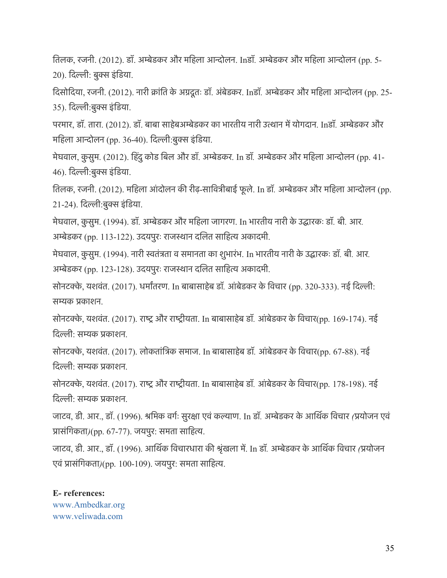ितलक, रजनी. (2012). डॉ. अमेडकर और मिहला आनोलन. Inडॉ*.* अमेडकर और मिहला आनोलन (pp. 5- 20). दिल्ली: बुक्स इंडिया.

िदसोिदया, रजनी. (2012). नारी कांित के अगदूतः डॉ. अंबेडकर. Inडॉ*.* अमेडकर और मिहला आनोलन (pp. 25- 35). दिल्ली:बुक्स इंडिया.

परमार, डॉ. तारा. (2012). डॉ. बाबा साहेबअमेडकर का भारतीय नारी उतान मेयोगदान. Inडॉ*.* अमेडकर और महिला आन्दोलन (pp. 36-40). दिल्ली:बुक्स इंडिया.

मेघवाल, कु सुम. (2012). िहं दुकोड िबल और डॉ. अमेडकर. In डॉ*.* अमेडकर और मिहला आनोलन (pp. 41- 46). दिल्ली:बुक्स इंडिया.

ितलक, रजनी. (2012). मिहला आं दोलन की रीढ़-सािवतीबाई फू ले. In डॉ*.* अमेडकर और मिहला आनोलन (pp. 21-24). दिल्ली:बुक्स इंडिया.

मेघवाल, कु सुम. (1994). डॉ. अमेडकर और मिहला जागरण. In भारतीय नारी के उदारकः डॉ*.* बी*.* आर*.*  अम्बेडकर (pp. 113-122). उदयपुरः राजस्थान दलित साहित्य अकादमी.

मेघवाल, कु सुम. (1994). नारी सतंतता व समानता का शुभारंभ. In भारतीय नारी के उदारकः डॉ*.* बी*.* आर*.*  अम्बेडकर (pp. 123-128). उदयपुरः राजस्थान दलित साहित्य अकादमी.

सोनटके, यशवंत. (2017). धमारतरण. In बाबासाहेब डॉ*.* आं बेडकर के िवचार (pp. 320-333). नई िदली: समक पकाशन.

सोनटक्के, यशवंत. (2017). राष्ट्र और राष्ट्रीयता. In बाबासाहेब डॉ. आंबेडकर के विचार(pp. 169-174). नई िदली: समक पकाशन.

सोनटके, यशवंत. (2017). लोकतांितक समाज. In बाबासाहेब डॉ*.* आं बेडकर के िवचार(pp. 67-88). नई िदली: समक पकाशन.

सोनटक्के, यशवंत. (2017). राष्ट्र और राष्ट्रीयता. In बाबासाहेब डॉ. आंबेडकर के विचार(pp. 178-198). नई िदली: समक पकाशन.

जाटव, डी. आर., डॉ. (1996). शिमक वगरः सुरका एवंकलाण. In डॉ*.* अमेडकर के आिथर क िवचार *(*पयोजन एवं प्रासंगिकता)(pp. 67-77). जयपुर: समता साहित्य.

जाटव, डी. आर., डॉ. (1996). आिथर क िवचारधारा की शृंखला मे. In डॉ*.* अमेडकर के आिथर क िवचार *(*पयोजन एवं पासंिगकता*)*(pp. 100-109). जयपुर: समता सािहत.

**E- references:** www.Ambedkar.org www.veliwada.com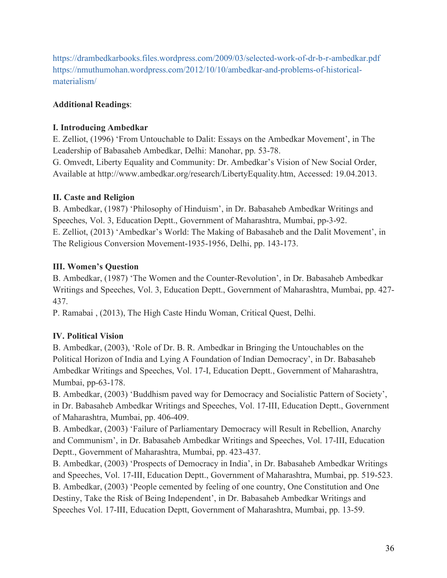https://drambedkarbooks.files.wordpress.com/2009/03/selected-work-of-dr-b-r-ambedkar.pdf https://nmuthumohan.wordpress.com/2012/10/10/ambedkar-and-problems-of-historicalmaterialism/

# **Additional Readings**:

# **I. Introducing Ambedkar**

E. Zelliot, (1996) 'From Untouchable to Dalit: Essays on the Ambedkar Movement', in The Leadership of Babasaheb Ambedkar, Delhi: Manohar, pp. 53-78.

G. Omvedt, Liberty Equality and Community: Dr. Ambedkar's Vision of New Social Order, Available at http://www.ambedkar.org/research/LibertyEquality.htm, Accessed: 19.04.2013.

# **II. Caste and Religion**

B. Ambedkar, (1987) 'Philosophy of Hinduism', in Dr. Babasaheb Ambedkar Writings and Speeches, Vol. 3, Education Deptt., Government of Maharashtra, Mumbai, pp-3-92. E. Zelliot, (2013) 'Ambedkar's World: The Making of Babasaheb and the Dalit Movement', in The Religious Conversion Movement-1935-1956, Delhi, pp. 143-173.

# **III. Women's Question**

B. Ambedkar, (1987) 'The Women and the Counter-Revolution', in Dr. Babasaheb Ambedkar Writings and Speeches, Vol. 3, Education Deptt., Government of Maharashtra, Mumbai, pp. 427- 437.

P. Ramabai , (2013), The High Caste Hindu Woman, Critical Quest, Delhi.

# **IV. Political Vision**

B. Ambedkar, (2003), 'Role of Dr. B. R. Ambedkar in Bringing the Untouchables on the Political Horizon of India and Lying A Foundation of Indian Democracy', in Dr. Babasaheb Ambedkar Writings and Speeches, Vol. 17-I, Education Deptt., Government of Maharashtra, Mumbai, pp-63-178.

B. Ambedkar, (2003) 'Buddhism paved way for Democracy and Socialistic Pattern of Society', in Dr. Babasaheb Ambedkar Writings and Speeches, Vol. 17-III, Education Deptt., Government of Maharashtra, Mumbai, pp. 406-409.

B. Ambedkar, (2003) 'Failure of Parliamentary Democracy will Result in Rebellion, Anarchy and Communism', in Dr. Babasaheb Ambedkar Writings and Speeches, Vol. 17-III, Education Deptt., Government of Maharashtra, Mumbai, pp. 423-437.

B. Ambedkar, (2003) 'Prospects of Democracy in India', in Dr. Babasaheb Ambedkar Writings and Speeches, Vol. 17-III, Education Deptt., Government of Maharashtra, Mumbai, pp. 519-523. B. Ambedkar, (2003) 'People cemented by feeling of one country, One Constitution and One Destiny, Take the Risk of Being Independent', in Dr. Babasaheb Ambedkar Writings and Speeches Vol. 17-III, Education Deptt, Government of Maharashtra, Mumbai, pp. 13-59.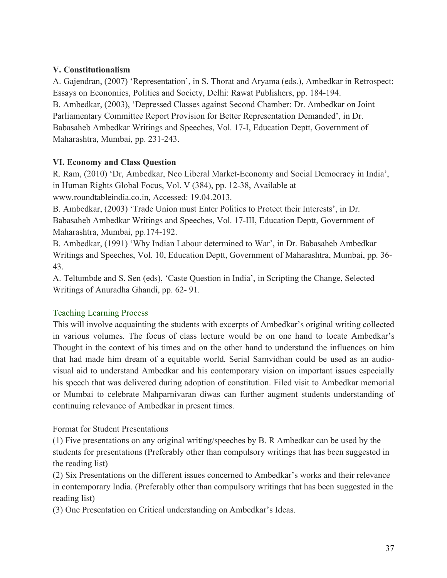#### **V. Constitutionalism**

A. Gajendran, (2007) 'Representation', in S. Thorat and Aryama (eds.), Ambedkar in Retrospect: Essays on Economics, Politics and Society, Delhi: Rawat Publishers, pp. 184-194. B. Ambedkar, (2003), 'Depressed Classes against Second Chamber: Dr. Ambedkar on Joint Parliamentary Committee Report Provision for Better Representation Demanded', in Dr. Babasaheb Ambedkar Writings and Speeches, Vol. 17-I, Education Deptt, Government of Maharashtra, Mumbai, pp. 231-243.

#### **VI. Economy and Class Question**

R. Ram, (2010) 'Dr, Ambedkar, Neo Liberal Market-Economy and Social Democracy in India', in Human Rights Global Focus, Vol. V (384), pp. 12-38, Available at www.roundtableindia.co.in, Accessed: 19.04.2013.

B. Ambedkar, (2003) 'Trade Union must Enter Politics to Protect their Interests', in Dr. Babasaheb Ambedkar Writings and Speeches, Vol. 17-III, Education Deptt, Government of Maharashtra, Mumbai, pp.174-192.

B. Ambedkar, (1991) 'Why Indian Labour determined to War', in Dr. Babasaheb Ambedkar Writings and Speeches, Vol. 10, Education Deptt, Government of Maharashtra, Mumbai, pp. 36- 43.

A. Teltumbde and S. Sen (eds), 'Caste Question in India', in Scripting the Change, Selected Writings of Anuradha Ghandi, pp. 62- 91.

#### Teaching Learning Process

This will involve acquainting the students with excerpts of Ambedkar's original writing collected in various volumes. The focus of class lecture would be on one hand to locate Ambedkar's Thought in the context of his times and on the other hand to understand the influences on him that had made him dream of a equitable world. Serial Samvidhan could be used as an audiovisual aid to understand Ambedkar and his contemporary vision on important issues especially his speech that was delivered during adoption of constitution. Filed visit to Ambedkar memorial or Mumbai to celebrate Mahparnivaran diwas can further augment students understanding of continuing relevance of Ambedkar in present times.

#### Format for Student Presentations

(1) Five presentations on any original writing/speeches by B. R Ambedkar can be used by the students for presentations (Preferably other than compulsory writings that has been suggested in the reading list)

(2) Six Presentations on the different issues concerned to Ambedkar's works and their relevance in contemporary India. (Preferably other than compulsory writings that has been suggested in the reading list)

(3) One Presentation on Critical understanding on Ambedkar's Ideas.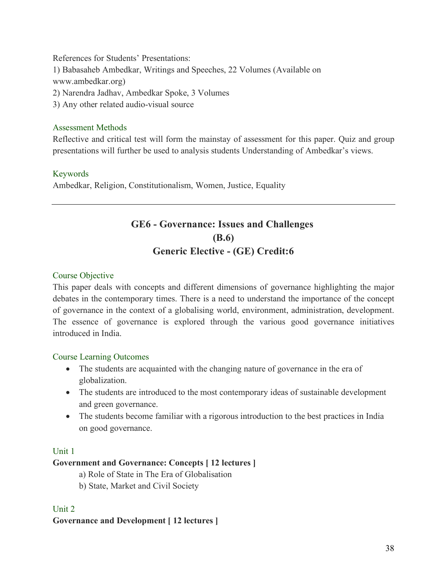References for Students' Presentations: 1) Babasaheb Ambedkar, Writings and Speeches, 22 Volumes (Available on www.ambedkar.org) 2) Narendra Jadhav, Ambedkar Spoke, 3 Volumes 3) Any other related audio-visual source

#### Assessment Methods

Reflective and critical test will form the mainstay of assessment for this paper. Quiz and group presentations will further be used to analysis students Understanding of Ambedkar's views.

#### Keywords

Ambedkar, Religion, Constitutionalism, Women, Justice, Equality

# **GE6 - Governance: Issues and Challenges (B.6) Generic Elective - (GE) Credit:6**

#### Course Objective

This paper deals with concepts and different dimensions of governance highlighting the major debates in the contemporary times. There is a need to understand the importance of the concept of governance in the context of a globalising world, environment, administration, development. The essence of governance is explored through the various good governance initiatives introduced in India.

#### Course Learning Outcomes

- The students are acquainted with the changing nature of governance in the era of globalization.
- The students are introduced to the most contemporary ideas of sustainable development and green governance.
- The students become familiar with a rigorous introduction to the best practices in India on good governance.

#### Unit 1

#### **Government and Governance: Concepts [ 12 lectures ]**

a) Role of State in The Era of Globalisation

b) State, Market and Civil Society

#### Unit 2

#### **Governance and Development [ 12 lectures ]**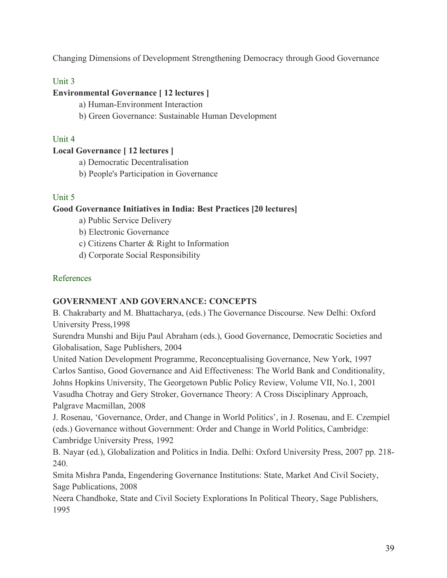Changing Dimensions of Development Strengthening Democracy through Good Governance

# Unit 3

### **Environmental Governance [ 12 lectures ]**

- a) Human-Environment Interaction
- b) Green Governance: Sustainable Human Development

#### Unit 4

# **Local Governance [ 12 lectures ]**

- a) Democratic Decentralisation
- b) People's Participation in Governance

### Unit 5

### **Good Governance Initiatives in India: Best Practices [20 lectures]**

- a) Public Service Delivery
- b) Electronic Governance
- c) Citizens Charter & Right to Information
- d) Corporate Social Responsibility

#### References

#### **GOVERNMENT AND GOVERNANCE: CONCEPTS**

B. Chakrabarty and M. Bhattacharya, (eds.) The Governance Discourse. New Delhi: Oxford University Press,1998

Surendra Munshi and Biju Paul Abraham (eds.), Good Governance, Democratic Societies and Globalisation, Sage Publishers, 2004

United Nation Development Programme, Reconceptualising Governance, New York, 1997 Carlos Santiso, Good Governance and Aid Effectiveness: The World Bank and Conditionality, Johns Hopkins University, The Georgetown Public Policy Review, Volume VII, No.1, 2001 Vasudha Chotray and Gery Stroker, Governance Theory: A Cross Disciplinary Approach, Palgrave Macmillan, 2008

J. Rosenau, 'Governance, Order, and Change in World Politics', in J. Rosenau, and E. Czempiel (eds.) Governance without Government: Order and Change in World Politics, Cambridge: Cambridge University Press, 1992

B. Nayar (ed.), Globalization and Politics in India. Delhi: Oxford University Press, 2007 pp. 218- 240.

Smita Mishra Panda, Engendering Governance Institutions: State, Market And Civil Society, Sage Publications, 2008

Neera Chandhoke, State and Civil Society Explorations In Political Theory, Sage Publishers, 1995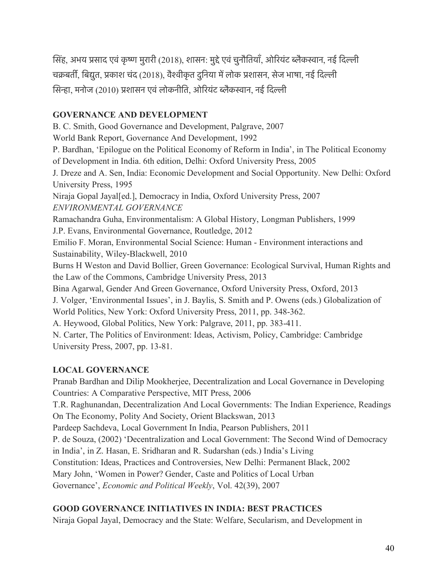सिंह, अभय प्रसाद एवं कृष्ण मुरारी (2018), शासन: मुद्दे एवं चुनौतियाँ, ओरियंट ब्लैकस्वान, नई दिल्ली चक्रबर्ती, बिद्युत, प्रकाश चंद (2018), वैश्वीकृत दुनिया में लोक प्रशासन, सेज भाषा, नई दिल्ली सिन्हा, मनोज (2010) प्रशासन एवं लोकनीति, ओरियंट ब्लैकस्वान, नई दिल्ली

### **GOVERNANCE AND DEVELOPMENT**

B. C. Smith, Good Governance and Development, Palgrave, 2007 World Bank Report, Governance And Development, 1992 P. Bardhan, 'Epilogue on the Political Economy of Reform in India', in The Political Economy of Development in India. 6th edition, Delhi: Oxford University Press, 2005 J. Dreze and A. Sen, India: Economic Development and Social Opportunity. New Delhi: Oxford University Press, 1995 Niraja Gopal Jayal[ed.], Democracy in India, Oxford University Press, 2007 *ENVIRONMENTAL GOVERNANCE* Ramachandra Guha, Environmentalism: A Global History, Longman Publishers, 1999 J.P. Evans, Environmental Governance, Routledge, 2012 Emilio F. Moran, Environmental Social Science: Human - Environment interactions and Sustainability, Wiley-Blackwell, 2010 Burns H Weston and David Bollier, Green Governance: Ecological Survival, Human Rights and the Law of the Commons, Cambridge University Press, 2013 Bina Agarwal, Gender And Green Governance, Oxford University Press, Oxford, 2013 J. Volger, 'Environmental Issues', in J. Baylis, S. Smith and P. Owens (eds.) Globalization of World Politics, New York: Oxford University Press, 2011, pp. 348-362. A. Heywood, Global Politics, New York: Palgrave, 2011, pp. 383-411. N. Carter, The Politics of Environment: Ideas, Activism, Policy, Cambridge: Cambridge University Press, 2007, pp. 13-81.

# **LOCAL GOVERNANCE**

Pranab Bardhan and Dilip Mookherjee, Decentralization and Local Governance in Developing Countries: A Comparative Perspective, MIT Press, 2006 T.R. Raghunandan, Decentralization And Local Governments: The Indian Experience, Readings On The Economy, Polity And Society, Orient Blackswan, 2013 Pardeep Sachdeva, Local Government In India, Pearson Publishers, 2011 P. de Souza, (2002) 'Decentralization and Local Government: The Second Wind of Democracy in India', in Z. Hasan, E. Sridharan and R. Sudarshan (eds.) India's Living Constitution: Ideas, Practices and Controversies, New Delhi: Permanent Black, 2002 Mary John, 'Women in Power? Gender, Caste and Politics of Local Urban Governance', *Economic and Political Weekly*, Vol. 42(39), 2007

# **GOOD GOVERNANCE INITIATIVES IN INDIA: BEST PRACTICES**

Niraja Gopal Jayal, Democracy and the State: Welfare, Secularism, and Development in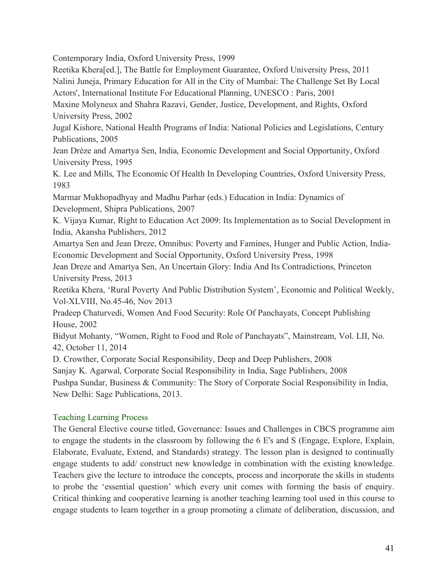Contemporary India, Oxford University Press, 1999

Reetika Khera[ed.], The Battle for Employment Guarantee, Oxford University Press, 2011 Nalini Juneja, Primary Education for All in the City of Mumbai: The Challenge Set By Local

Actors', International Institute For Educational Planning, UNESCO : Paris, 2001

Maxine Molyneux and Shahra Razavi, Gender, Justice, Development, and Rights, Oxford University Press, 2002

Jugal Kishore, National Health Programs of India: National Policies and Legislations, Century Publications, 2005

Jean Drèze and Amartya Sen, India, Economic Development and Social Opportunity, Oxford University Press, 1995

K. Lee and Mills, The Economic Of Health In Developing Countries, Oxford University Press, 1983

Marmar Mukhopadhyay and Madhu Parhar (eds.) Education in India: Dynamics of Development, Shipra Publications, 2007

K. Vijaya Kumar, Right to Education Act 2009: Its Implementation as to Social Development in India, Akansha Publishers, 2012

Amartya Sen and Jean Dreze, Omnibus: Poverty and Famines, Hunger and Public Action, India-Economic Development and Social Opportunity, Oxford University Press, 1998

Jean Dreze and Amartya Sen, An Uncertain Glory: India And Its Contradictions, Princeton University Press, 2013

Reetika Khera, 'Rural Poverty And Public Distribution System', Economic and Political Weekly, Vol-XLVIII, No.45-46, Nov 2013

Pradeep Chaturvedi, Women And Food Security: Role Of Panchayats, Concept Publishing House, 2002

Bidyut Mohanty, "Women, Right to Food and Role of Panchayats", Mainstream, Vol. LII, No. 42, October 11, 2014

D. Crowther, Corporate Social Responsibility, Deep and Deep Publishers, 2008

Sanjay K. Agarwal, Corporate Social Responsibility in India, Sage Publishers, 2008

Pushpa Sundar, Business & Community: The Story of Corporate Social Responsibility in India, New Delhi: Sage Publications, 2013.

# Teaching Learning Process

The General Elective course titled, Governance: Issues and Challenges in CBCS programme aim to engage the students in the classroom by following the 6 E's and S (Engage, Explore, Explain, Elaborate, Evaluate, Extend, and Standards) strategy. The lesson plan is designed to continually engage students to add/ construct new knowledge in combination with the existing knowledge. Teachers give the lecture to introduce the concepts, process and incorporate the skills in students to probe the 'essential question' which every unit comes with forming the basis of enquiry. Critical thinking and cooperative learning is another teaching learning tool used in this course to engage students to learn together in a group promoting a climate of deliberation, discussion, and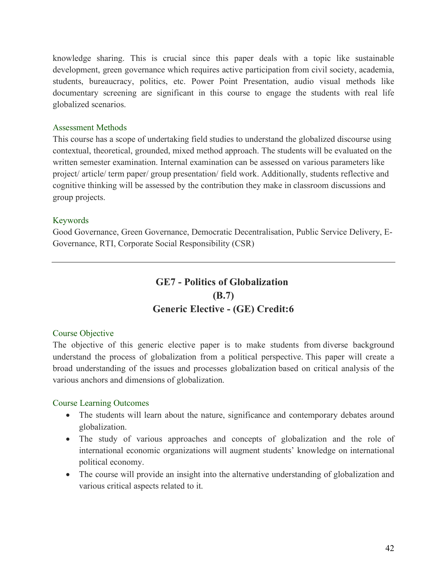knowledge sharing. This is crucial since this paper deals with a topic like sustainable development, green governance which requires active participation from civil society, academia, students, bureaucracy, politics, etc. Power Point Presentation, audio visual methods like documentary screening are significant in this course to engage the students with real life globalized scenarios.

#### Assessment Methods

This course has a scope of undertaking field studies to understand the globalized discourse using contextual, theoretical, grounded, mixed method approach. The students will be evaluated on the written semester examination. Internal examination can be assessed on various parameters like project/ article/ term paper/ group presentation/ field work. Additionally, students reflective and cognitive thinking will be assessed by the contribution they make in classroom discussions and group projects.

#### Keywords

Good Governance, Green Governance, Democratic Decentralisation, Public Service Delivery, E-Governance, RTI, Corporate Social Responsibility (CSR)

# **GE7 - Politics of Globalization (B.7) Generic Elective - (GE) Credit:6**

#### Course Objective

The objective of this generic elective paper is to make students from diverse background understand the process of globalization from a political perspective. This paper will create a broad understanding of the issues and processes globalization based on critical analysis of the various anchors and dimensions of globalization.

#### Course Learning Outcomes

- The students will learn about the nature, significance and contemporary debates around globalization.
- The study of various approaches and concepts of globalization and the role of international economic organizations will augment students' knowledge on international political economy.
- The course will provide an insight into the alternative understanding of globalization and various critical aspects related to it.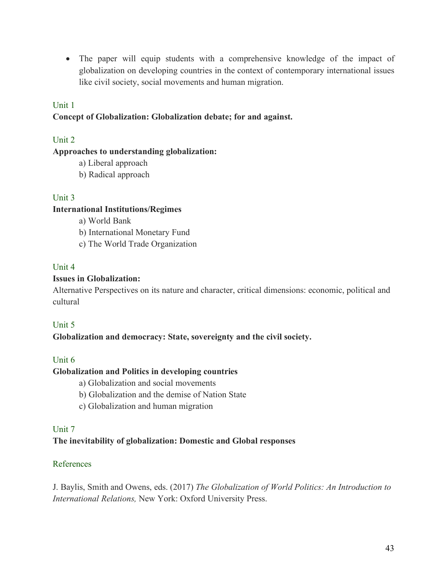• The paper will equip students with a comprehensive knowledge of the impact of globalization on developing countries in the context of contemporary international issues like civil society, social movements and human migration.

#### Unit 1

#### **Concept of Globalization: Globalization debate; for and against.**

#### Unit 2

#### **Approaches to understanding globalization:**

- a) Liberal approach
- b) Radical approach

#### Unit 3

#### **International Institutions/Regimes**

- a) World Bank
- b) International Monetary Fund
- c) The World Trade Organization

#### Unit 4

#### **Issues in Globalization:**

Alternative Perspectives on its nature and character, critical dimensions: economic, political and cultural

#### Unit 5

#### **Globalization and democracy: State, sovereignty and the civil society.**

#### Unit 6

#### **Globalization and Politics in developing countries**

- a) Globalization and social movements
- b) Globalization and the demise of Nation State
- c) Globalization and human migration

#### Unit 7

# **The inevitability of globalization: Domestic and Global responses**

#### References

J. Baylis, Smith and Owens, eds. (2017) *The Globalization of World Politics: An Introduction to International Relations,* New York: Oxford University Press.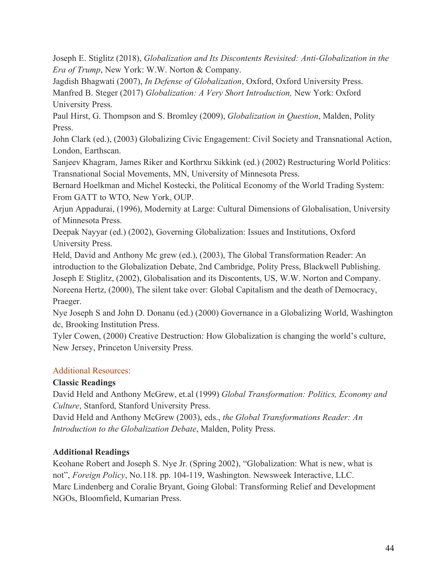Joseph E. Stiglitz (2018), *Globalization and Its Discontents Revisited: Anti-Globalization in the Era of Trump*, New York: W.W. Norton & Company.

Jagdish Bhagwati (2007), *In Defense of Globalization*, Oxford, Oxford University Press. Manfred B. Steger (2017) *Globalization: A Very Short Introduction,* New York: Oxford

University Press.

Paul Hirst, G. Thompson and S. Bromley (2009), *Globalization in Question*, Malden, Polity Press.

John Clark (ed.), (2003) Globalizing Civic Engagement: Civil Society and Transnational Action, London, Earthscan.

Sanjeev Khagram, James Riker and Korthrxu Sikkink (ed.) (2002) Restructuring World Politics: Transnational Social Movements, MN, University of Minnesota Press.

Bernard Hoelkman and Michel Kostecki, the Political Economy of the World Trading System: From GATT to WTO, New York, OUP.

Arjun Appadurai, (1996), Modernity at Large: Cultural Dimensions of Globalisation, University of Minnesota Press.

Deepak Nayyar (ed.) (2002), Governing Globalization: Issues and Institutions, Oxford University Press.

Held, David and Anthony Mc grew (ed.), (2003), The Global Transformation Reader: An introduction to the Globalization Debate, 2nd Cambridge, Polity Press, Blackwell Publishing. Joseph E Stiglitz, (2002), Globalisation and its Discontents, US, W.W. Norton and Company. Noreena Hertz, (2000), The silent take over: Global Capitalism and the death of Democracy, Praeger.

Nye Joseph S and John D. Donanu (ed.) (2000) Governance in a Globalizing World, Washington dc, Brooking Institution Press.

Tyler Cowen, (2000) Creative Destruction: How Globalization is changing the world's culture, New Jersey, Princeton University Press.

# Additional Resources:

# **Classic Readings**

David Held and Anthony McGrew, et.al (1999) *Global Transformation: Politics, Economy and Culture*, Stanford, Stanford University Press.

David Held and Anthony McGrew (2003), eds., *the Global Transformations Reader: An Introduction to the Globalization Debate*, Malden, Polity Press.

# **Additional Readings**

Keohane Robert and Joseph S. Nye Jr. (Spring 2002), "Globalization: What is new, what is not", *Foreign Policy*, No.118. pp. 104-119, Washington. Newsweek Interactive, LLC. Marc Lindenberg and Coralie Bryant, Going Global: Transforming Relief and Development NGOs, Bloomfield, Kumarian Press.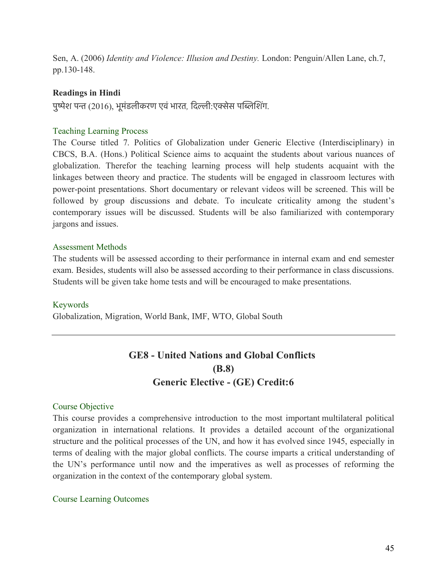Sen, A. (2006) *Identity and Violence: Illusion and Destiny.* London: Penguin/Allen Lane, ch.7, pp.130-148.

#### **Readings in Hindi**

पुष्पेश पन्त (2016), भूमंडलीकरण एवं भारत, दिल्ली:एक्सेस पब्लिशिंग.

#### Teaching Learning Process

The Course titled 7. Politics of Globalization under Generic Elective (Interdisciplinary) in CBCS, B.A. (Hons.) Political Science aims to acquaint the students about various nuances of globalization. Therefor the teaching learning process will help students acquaint with the linkages between theory and practice. The students will be engaged in classroom lectures with power-point presentations. Short documentary or relevant videos will be screened. This will be followed by group discussions and debate. To inculcate criticality among the student's contemporary issues will be discussed. Students will be also familiarized with contemporary jargons and issues.

#### Assessment Methods

The students will be assessed according to their performance in internal exam and end semester exam. Besides, students will also be assessed according to their performance in class discussions. Students will be given take home tests and will be encouraged to make presentations.

#### Keywords

Globalization, Migration, World Bank, IMF, WTO, Global South

# **GE8 - United Nations and Global Conflicts (B.8) Generic Elective - (GE) Credit:6**

#### Course Objective

This course provides a comprehensive introduction to the most important multilateral political organization in international relations. It provides a detailed account of the organizational structure and the political processes of the UN, and how it has evolved since 1945, especially in terms of dealing with the major global conflicts. The course imparts a critical understanding of the UN's performance until now and the imperatives as well as processes of reforming the organization in the context of the contemporary global system.

#### Course Learning Outcomes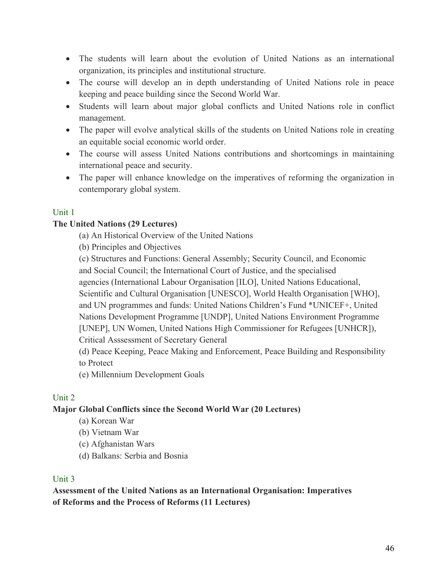- The students will learn about the evolution of United Nations as an international organization, its principles and institutional structure.
- The course will develop an in depth understanding of United Nations role in peace keeping and peace building since the Second World War.
- Students will learn about major global conflicts and United Nations role in conflict management.
- The paper will evolve analytical skills of the students on United Nations role in creating an equitable social economic world order.
- The course will assess United Nations contributions and shortcomings in maintaining international peace and security.
- The paper will enhance knowledge on the imperatives of reforming the organization in contemporary global system.

#### Unit 1

#### **The United Nations (29 Lectures)**

(a) An Historical Overview of the United Nations

(b) Principles and Objectives

(c) Structures and Functions: General Assembly; Security Council, and Economic and Social Council; the International Court of Justice, and the specialised

agencies (International Labour Organisation [ILO], United Nations Educational, Scientific and Cultural Organisation [UNESCO], World Health Organisation [WHO], and UN programmes and funds: United Nations Children's Fund \*UNICEF+, United Nations Development Programme [UNDP], United Nations Environment Programme

[UNEP], UN Women, United Nations High Commissioner for Refugees [UNHCR]), Critical Asssessment of Secretary General

(d) Peace Keeping, Peace Making and Enforcement, Peace Building and Responsibility to Protect

(e) Millennium Development Goals

#### Unit 2

# **Major Global Conflicts since the Second World War (20 Lectures)**

- (a) Korean War
- (b) Vietnam War
- (c) Afghanistan Wars
- (d) Balkans: Serbia and Bosnia

#### Unit 3

**Assessment of the United Nations as an International Organisation: Imperatives of Reforms and the Process of Reforms (11 Lectures)**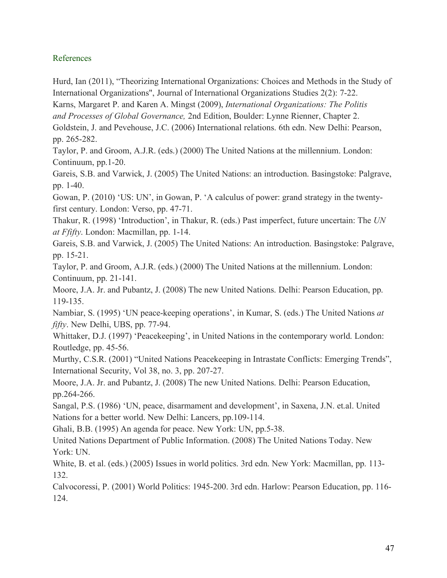#### References

Hurd, Ian (2011), "Theorizing International Organizations: Choices and Methods in the Study of International Organizations", Journal of International Organizations Studies 2(2): 7-22.

Karns, Margaret P. and Karen A. Mingst (2009), *International Organizations: The Politis* 

*and Processes of Global Governance,* 2nd Edition, Boulder: Lynne Rienner, Chapter 2.

Goldstein, J. and Pevehouse, J.C. (2006) International relations. 6th edn. New Delhi: Pearson, pp. 265-282.

Taylor, P. and Groom, A.J.R. (eds.) (2000) The United Nations at the millennium. London: Continuum, pp.1-20.

Gareis, S.B. and Varwick, J. (2005) The United Nations: an introduction. Basingstoke: Palgrave, pp. 1-40.

Gowan, P. (2010) 'US: UN', in Gowan, P. 'A calculus of power: grand strategy in the twentyfirst century. London: Verso, pp. 47-71.

Thakur, R. (1998) 'Introduction', in Thakur, R. (eds.) Past imperfect, future uncertain: The *UN at Ffifty*. London: Macmillan, pp. 1-14.

Gareis, S.B. and Varwick, J. (2005) The United Nations: An introduction. Basingstoke: Palgrave, pp. 15-21.

Taylor, P. and Groom, A.J.R. (eds.) (2000) The United Nations at the millennium. London: Continuum, pp. 21-141.

Moore, J.A. Jr. and Pubantz, J. (2008) The new United Nations. Delhi: Pearson Education, pp. 119-135.

Nambiar, S. (1995) 'UN peace-keeping operations', in Kumar, S. (eds.) The United Nations *at fifty*. New Delhi, UBS, pp. 77-94.

Whittaker, D.J. (1997) 'Peacekeeping', in United Nations in the contemporary world. London: Routledge, pp. 45-56.

Murthy, C.S.R. (2001) "United Nations Peacekeeping in Intrastate Conflicts: Emerging Trends", International Security, Vol 38, no. 3, pp. 207-27.

Moore, J.A. Jr. and Pubantz, J. (2008) The new United Nations. Delhi: Pearson Education, pp.264-266.

Sangal, P.S. (1986) 'UN, peace, disarmament and development', in Saxena, J.N. et.al. United Nations for a better world. New Delhi: Lancers, pp.109-114.

Ghali, B.B. (1995) An agenda for peace. New York: UN, pp.5-38.

United Nations Department of Public Information. (2008) The United Nations Today. New York: UN.

White, B. et al. (eds.) (2005) Issues in world politics. 3rd edn. New York: Macmillan, pp. 113- 132.

Calvocoressi, P. (2001) World Politics: 1945-200. 3rd edn. Harlow: Pearson Education, pp. 116- 124.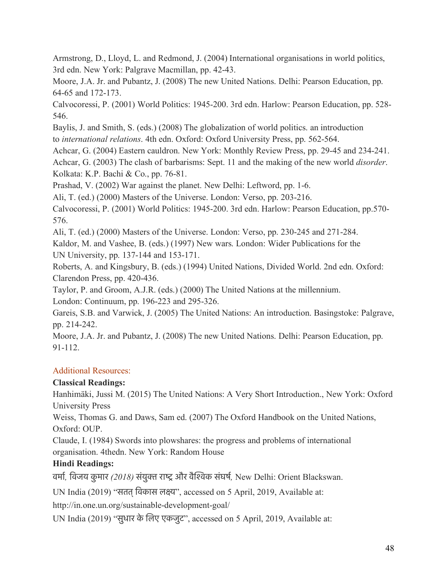Armstrong, D., Lloyd, L. and Redmond, J. (2004) International organisations in world politics, 3rd edn. New York: Palgrave Macmillan, pp. 42-43.

Moore, J.A. Jr. and Pubantz, J. (2008) The new United Nations. Delhi: Pearson Education, pp. 64-65 and 172-173.

Calvocoressi, P. (2001) World Politics: 1945-200. 3rd edn. Harlow: Pearson Education, pp. 528- 546.

Baylis, J. and Smith, S. (eds.) (2008) The globalization of world politics. an introduction to *international relations*. 4th edn. Oxford: Oxford University Press, pp. 562-564.

Achcar, G. (2004) Eastern cauldron. New York: Monthly Review Press, pp. 29-45 and 234-241. Achcar, G. (2003) The clash of barbarisms: Sept. 11 and the making of the new world *disorder*. Kolkata: K.P. Bachi & Co., pp. 76-81.

Prashad, V. (2002) War against the planet. New Delhi: Leftword, pp. 1-6.

Ali, T. (ed.) (2000) Masters of the Universe. London: Verso, pp. 203-216.

Calvocoressi, P. (2001) World Politics: 1945-200. 3rd edn. Harlow: Pearson Education, pp.570- 576.

Ali, T. (ed.) (2000) Masters of the Universe. London: Verso, pp. 230-245 and 271-284.

Kaldor, M. and Vashee, B. (eds.) (1997) New wars. London: Wider Publications for the UN University, pp. 137-144 and 153-171.

Roberts, A. and Kingsbury, B. (eds.) (1994) United Nations, Divided World. 2nd edn. Oxford: Clarendon Press, pp. 420-436.

Taylor, P. and Groom, A.J.R. (eds.) (2000) The United Nations at the millennium.

London: Continuum, pp. 196-223 and 295-326.

Gareis, S.B. and Varwick, J. (2005) The United Nations: An introduction. Basingstoke: Palgrave, pp. 214-242.

Moore, J.A. Jr. and Pubantz, J. (2008) The new United Nations. Delhi: Pearson Education, pp. 91-112.

# Additional Resources:

# **Classical Readings:**

Hanhimäki, Jussi M. (2015) The United Nations: A Very Short Introduction., New York: Oxford University Press

Weiss, Thomas G. and Daws, Sam ed. (2007) The Oxford Handbook on the United Nations, Oxford: OUP.

Claude, I. (1984) Swords into plowshares: the progress and problems of international organisation. 4thedn. New York: Random House

# **Hindi Readings:**

वमार*,* िवजय कु मार *(2018)* संयुक राष और वैिशक संघषर*,* New Delhi: Orient Blackswan.

UN India (2019) "सतत्िवकास लकय", accessed on 5 April, 2019, Available at:

http://in.one.un.org/sustainable-development-goal/

UN India (2019) "सुधार के िलए एकजुट", accessed on 5 April, 2019, Available at: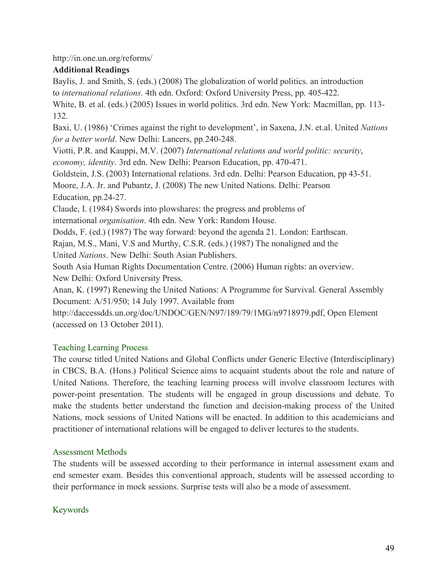http://in.one.un.org/reforms/

# **Additional Readings**

Baylis, J. and Smith, S. (eds.) (2008) The globalization of world politics. an introduction to *international relations*. 4th edn. Oxford: Oxford University Press, pp. 405-422.

White, B. et al. (eds.) (2005) Issues in world politics. 3rd edn. New York: Macmillan, pp. 113- 132.

Baxi, U. (1986) 'Crimes against the right to development', in Saxena, J.N. et.al. United *Nations for a better world*. New Delhi: Lancers, pp.240-248.

Viotti, P.R. and Kauppi, M.V. (2007) *International relations and world politic: security*, *economy, identity*. 3rd edn. New Delhi: Pearson Education, pp. 470-471.

Goldstein, J.S. (2003) International relations. 3rd edn. Delhi: Pearson Education, pp 43-51.

Moore, J.A. Jr. and Pubantz, J. (2008) The new United Nations. Delhi: Pearson Education, pp.24-27.

Claude, I. (1984) Swords into plowshares: the progress and problems of

international *organisation*. 4th edn. New York: Random House.

Dodds, F. (ed.) (1987) The way forward: beyond the agenda 21. London: Earthscan.

Rajan, M.S., Mani, V.S and Murthy, C.S.R. (eds.) (1987) The nonaligned and the

United *Nations*. New Delhi: South Asian Publishers.

South Asia Human Rights Documentation Centre. (2006) Human rights: an overview. New Delhi: Oxford University Press.

Anan, K. (1997) Renewing the United Nations: A Programme for Survival. General Assembly Document: A/51/950; 14 July 1997. Available from

http://daccessdds.un.org/doc/UNDOC/GEN/N97/189/79/1MG/n9718979.pdf, Open Element (accessed on 13 October 2011).

# Teaching Learning Process

The course titled United Nations and Global Conflicts under Generic Elective (Interdisciplinary) in CBCS, B.A. (Hons.) Political Science aims to acquaint students about the role and nature of United Nations. Therefore, the teaching learning process will involve classroom lectures with power-point presentation. The students will be engaged in group discussions and debate. To make the students better understand the function and decision-making process of the United Nations, mock sessions of United Nations will be enacted. In addition to this academicians and practitioner of international relations will be engaged to deliver lectures to the students.

#### Assessment Methods

The students will be assessed according to their performance in internal assessment exam and end semester exam. Besides this conventional approach, students will be assessed according to their performance in mock sessions. Surprise tests will also be a mode of assessment.

# Keywords